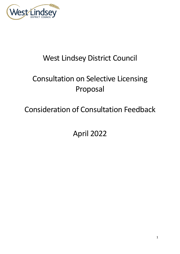

# West Lindsey District Council

# Consultation on Selective Licensing Proposal

# Consideration of Consultation Feedback

April 2022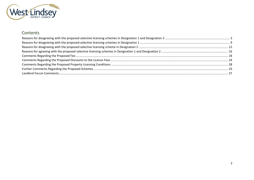

# Contents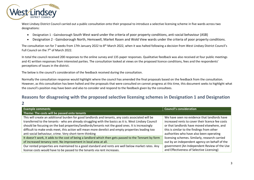

West Lindsey District Council carried out a public consultation onto their proposal to introduce a selective licensing scheme in five wards across two designations:

- Designation 1 Gainsborough South West ward under the criteria of poor property conditions, anti-social behaviour (ASB)
- Designation 2 Gainsborough North, Hemswell, Market Rasen and Wold View wards under the criteria of poor property conditions.

The consultation ran for 7 weeks from 17th January 2022 to 8<sup>th</sup> March 2022, when it was halted following a decision from West Lindsey District Council's Full Council on the 7th of March 2022.

In total the council received 200 responses to the online survey and 135 paper responses. Qualitative feedback was also received at four public meetings and 41 written responses from interested parties. The consultation looked at views on the proposed licence conditions, fees and the respondents' perceptions of issues in the district.

The below is the council's consideration of the feedback received during the consultation.

Normally the consultation response would highlight where the council has amended the final proposals based on the feedback from the consultation. However, as this consultation has been halted and the proposals that were consulted on cannot progress at this time, this document seeks to highlight what the council's position may have been and also to consider and respond to the feedback given by the consultees.

### <span id="page-2-0"></span>**Reasons for disagreeing with the proposed selective licensing schemes in Designation 1 and Designation**

**2**

| <b>Example comments</b>                                                                                | <b>Council's consideration</b>                   |
|--------------------------------------------------------------------------------------------------------|--------------------------------------------------|
| Theme: The costs will be passed onto tenants                                                           |                                                  |
| This will create an additional burden for good landlords and tenants, any costs associated will be     | We have seen no evidence that landlords have     |
| transferred to the tenants - who are already struggling with the basics as it is. West Lindsey Council | increased rents to cover their licence fee costs |
| should be focusing on the bad properties/landlords/tenants not the good ones. It is increasingly       | or that landlords have moved elsewhere, and      |
| difficult to make ends meet, this action will mean more derelict and empty properties leading too      | this is similar to the findings from other       |
| anti-social behaviour, crime. Very short-term thinking                                                 | authorities who have also been operating         |
| It doesn't work, it adds to the cost of being a landlord which then gets passed to the Tennant by form | licensing schemes. Similarly, research carried   |
| of increased tenancy rent. No improvement in local area at all.                                        | out by an independent agency on behalf of the    |
| Our rented properties are maintained to a good standard and rents are well below market rates. Any     | government (An Independent Review of the Use     |
| license costs would have to be passed to the tenants via rent increases.                               | and Effectiveness of Selective Licensing)        |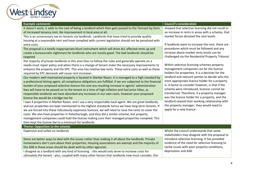| <b>Example comments</b>                                                                                                                                                                                                                                                                                                                                                                                                                                                                                                                                                                                                                                                                                                                                                                                                                                                                                                                                                                                                                                                                                                                                                                                                                                                                                                                                                                                                                                                                                                                                                                                                                                                                                                                                                                                                                                                                                                                                                                                                                                                                                       | <b>Council's consideration</b><br>showed that selective licensing did not result in                                                                                                                                                                                                                                                                                                                                                                                                                                                                                                                                                                                                                                                                                                                                                                                                |
|---------------------------------------------------------------------------------------------------------------------------------------------------------------------------------------------------------------------------------------------------------------------------------------------------------------------------------------------------------------------------------------------------------------------------------------------------------------------------------------------------------------------------------------------------------------------------------------------------------------------------------------------------------------------------------------------------------------------------------------------------------------------------------------------------------------------------------------------------------------------------------------------------------------------------------------------------------------------------------------------------------------------------------------------------------------------------------------------------------------------------------------------------------------------------------------------------------------------------------------------------------------------------------------------------------------------------------------------------------------------------------------------------------------------------------------------------------------------------------------------------------------------------------------------------------------------------------------------------------------------------------------------------------------------------------------------------------------------------------------------------------------------------------------------------------------------------------------------------------------------------------------------------------------------------------------------------------------------------------------------------------------------------------------------------------------------------------------------------------------|------------------------------------------------------------------------------------------------------------------------------------------------------------------------------------------------------------------------------------------------------------------------------------------------------------------------------------------------------------------------------------------------------------------------------------------------------------------------------------------------------------------------------------------------------------------------------------------------------------------------------------------------------------------------------------------------------------------------------------------------------------------------------------------------------------------------------------------------------------------------------------|
| It doesn't work, it adds to the cost of being a landlord which then gets passed to the Tennant by form<br>of increased tenancy rent. No improvement in local area at all.<br>This is an unnecessary tax on tenants via landlords. Landlords that have tried to provide quality<br>housing at a reasonable rent and have complied with current legislation should not be penalised with<br>extra costs.<br>The proposal is a totally inappropriate blunt instrument which will drive ALL affected rents up and<br>create a bureaucratic nightmare for landlords who are mostly good. The bad landlords should be<br>targeted<br>the majority of private landlords in this area then to follow the rules and generally operate on a<br>needs-must repair policy and when there is a change of tenant make the necessary improvements to<br>enhance the property and the EPC. This area has relative low rents. These extra costs as well as those<br>required by EPC demands will cause rent increases<br>Our modern well-maintained property is located in Market Rasen. It is managed to a high standard by<br>a professional letting agent, all compliance obligations are fulfilled. If we are subjected to the financial<br>burden of your proposed selective licence this and any resulting increase in agents' administration<br>fees will have to be passed on to the tenant at a time of high inflation and fuel price hikes, as<br>responsible landlords we have absorbed any increases in our own costs, however your proposed<br>licence fee would be a bridge too far.<br>I own 4 properties in Market Rasen, and I use a very respectable local agent. We are great landlords,<br>and our properties are kept maintained to the highest standards hence we have long term tenants. If<br>we are forced into these ridiculously expensive licences, we will need to raise the rents to cover the<br>costs. We also have properties in Peterborough, and they did a similar scheme, but property<br>management companies could hold the license making sure their managed properties complied. This | an increase in rents in areas with a scheme, that<br>market forces dictated the rent levels.<br>If landlords want to increase the rent, there are<br>procedures which must be followed and any<br>increase above market rents levels can be<br>challenged via the Residential Property Tribunal<br>Within selective licensing schemes property<br>management companies can be the licence<br>holders for properties. It is a decision for the<br>landlord and relevant parties to decide who the<br>most appropriate licence holder for a property<br>is. A factor to consider however, is that if the<br>scheme were introduced, licences cannot be<br>transferred. Therefore, if a property manager<br>was the licence holder for a property, and the<br>landlord ceased their working relationship with<br>the property manager, they would need to<br>apply for a new licence. |
| then kept the license fee to a minimum for landlords.<br>Theme: Opposition to the scheme                                                                                                                                                                                                                                                                                                                                                                                                                                                                                                                                                                                                                                                                                                                                                                                                                                                                                                                                                                                                                                                                                                                                                                                                                                                                                                                                                                                                                                                                                                                                                                                                                                                                                                                                                                                                                                                                                                                                                                                                                      |                                                                                                                                                                                                                                                                                                                                                                                                                                                                                                                                                                                                                                                                                                                                                                                                                                                                                    |
| Expensive and unfair on landlords                                                                                                                                                                                                                                                                                                                                                                                                                                                                                                                                                                                                                                                                                                                                                                                                                                                                                                                                                                                                                                                                                                                                                                                                                                                                                                                                                                                                                                                                                                                                                                                                                                                                                                                                                                                                                                                                                                                                                                                                                                                                             | Whilst the council understands that some<br>stakeholders may disagree with the proposal to                                                                                                                                                                                                                                                                                                                                                                                                                                                                                                                                                                                                                                                                                                                                                                                         |
| there are better ways to deal with the issues rather than making it all about the landlords. Private<br>homeowners don't care about their properties, Housing associations are exempt and the majority of<br>the ASB in these areas should be dealt with by other agencies                                                                                                                                                                                                                                                                                                                                                                                                                                                                                                                                                                                                                                                                                                                                                                                                                                                                                                                                                                                                                                                                                                                                                                                                                                                                                                                                                                                                                                                                                                                                                                                                                                                                                                                                                                                                                                    | introduce selective licensing, it has provided<br>evidence of the need for selective licensing to<br>tackle issues with poor property conditions,                                                                                                                                                                                                                                                                                                                                                                                                                                                                                                                                                                                                                                                                                                                                  |
| I disagree as a landlord with any kind of licensing - this would only serve to increase costs for<br>ultimately the tenant - plus, coupled with many other factors that landlords now must consider, this                                                                                                                                                                                                                                                                                                                                                                                                                                                                                                                                                                                                                                                                                                                                                                                                                                                                                                                                                                                                                                                                                                                                                                                                                                                                                                                                                                                                                                                                                                                                                                                                                                                                                                                                                                                                                                                                                                     | deprivation and ASB.                                                                                                                                                                                                                                                                                                                                                                                                                                                                                                                                                                                                                                                                                                                                                                                                                                                               |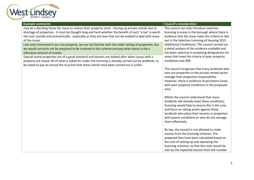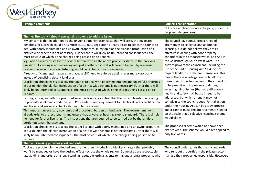

| <b>Example comments</b>                                                                                                                                                                                                                                                                                                                                                                                                                                                                                                                                                                                                                                                                                                                                                                                                                                                                                                                                                                                                                                                                                                                                                                                                                                                                                                                                                                                                                                                                                                                                                                                                                                                                                                                                                                                                                                                                                                                                                                                                                                                                                                                                                                                                                          | <b>Council's consideration</b>                                                                                                                                                                                                                                                                                                                                                                                                                                                                                                                                                                                                                                                                                                                                                                                                                                                                                                                                                                                                               |
|--------------------------------------------------------------------------------------------------------------------------------------------------------------------------------------------------------------------------------------------------------------------------------------------------------------------------------------------------------------------------------------------------------------------------------------------------------------------------------------------------------------------------------------------------------------------------------------------------------------------------------------------------------------------------------------------------------------------------------------------------------------------------------------------------------------------------------------------------------------------------------------------------------------------------------------------------------------------------------------------------------------------------------------------------------------------------------------------------------------------------------------------------------------------------------------------------------------------------------------------------------------------------------------------------------------------------------------------------------------------------------------------------------------------------------------------------------------------------------------------------------------------------------------------------------------------------------------------------------------------------------------------------------------------------------------------------------------------------------------------------------------------------------------------------------------------------------------------------------------------------------------------------------------------------------------------------------------------------------------------------------------------------------------------------------------------------------------------------------------------------------------------------------------------------------------------------------------------------------------------------|----------------------------------------------------------------------------------------------------------------------------------------------------------------------------------------------------------------------------------------------------------------------------------------------------------------------------------------------------------------------------------------------------------------------------------------------------------------------------------------------------------------------------------------------------------------------------------------------------------------------------------------------------------------------------------------------------------------------------------------------------------------------------------------------------------------------------------------------------------------------------------------------------------------------------------------------------------------------------------------------------------------------------------------------|
|                                                                                                                                                                                                                                                                                                                                                                                                                                                                                                                                                                                                                                                                                                                                                                                                                                                                                                                                                                                                                                                                                                                                                                                                                                                                                                                                                                                                                                                                                                                                                                                                                                                                                                                                                                                                                                                                                                                                                                                                                                                                                                                                                                                                                                                  | of licence applications we anticipate, under the<br>proposed designations.                                                                                                                                                                                                                                                                                                                                                                                                                                                                                                                                                                                                                                                                                                                                                                                                                                                                                                                                                                   |
| Theme: The council should use existing powers to address issues                                                                                                                                                                                                                                                                                                                                                                                                                                                                                                                                                                                                                                                                                                                                                                                                                                                                                                                                                                                                                                                                                                                                                                                                                                                                                                                                                                                                                                                                                                                                                                                                                                                                                                                                                                                                                                                                                                                                                                                                                                                                                                                                                                                  |                                                                                                                                                                                                                                                                                                                                                                                                                                                                                                                                                                                                                                                                                                                                                                                                                                                                                                                                                                                                                                              |
| My concern is that in addition, to the ongoing administration costs that will arise, the suggested<br>penalties for a breach could be as much as £30,000. Legislation already exists to allow the council to<br>deal with poorly maintained and unlawful properties. In my opinion the blanket introduction of a<br>district wide scheme is not necessary. Further there will likely be un-intended consequences, the<br>most obvious of which is the charges being passed on to Tenants.<br>legislation already exists for the council to deal with all the above problems stated in the previous<br>questions. Licensing is not necessary and just another cost that will have to be paid by someone!!<br>Feet on the ground and ears listening would be far better use of resources!<br>Already sufficient legal measures in place. WLDC need to enforce existing rules more vigorously<br>instead of penalising decent landlords<br>Legislation already exists to allow the Council to deal with poorly maintained and unlawful properties.<br>In our opinion the blanket introduction of a district wide scheme is not necessary. Further there will<br>likely be un-intended consequences, the most obvious of which is the charges being passed on to<br>Tenants.<br>I strongly disagree with this proposed selective licencing as I feel that the current legislation relating<br>to property safety and condition i.e., EPC standards and requirement for Electrical Safety certification<br>and boiler and gas safety checks etc ought to be enough.<br>This imposes unnecessary economic and procedural burden on landlords. The government laws<br>already exist to protect tenants and ensure that private let housing is up to standard. There is simply<br>no need for further licensing. The inspections that are required to be carried out by the landlord<br>border on tenant harassment.<br>Legislation already exists to allow the council to deal with poorly maintained and unlawful properties.<br>In our opinion the blanket introduction of a district wide scheme is not necessary. Further there will<br>likely be un-intended consequences, the most obvious of which is the charges being passed on to<br>Tenants. | The council have considered a range of<br>alternatives to selective and additional<br>licensing, but do not believe they are as<br>effective in dealing with poor property<br>conditions in the proposed wards, and ASB in<br>the Gainsborough South West ward. The<br>current powers the council has, including the<br>use of the Part 1 Housing Act 2004, do not<br>require landlords to declare themselves. This<br>means there is no obligation for landlords to<br>make their properties known to the council or<br>to be proactive in improving conditions,<br>including minor issues (that may still pose a<br>health and safety risk) but still need to be<br>addressed, but which a tenant may not<br>complain to the council about. Formal action<br>under the Housing Act can be a slow process,<br>and it cannot make the improvements needed<br>on the scale that a selective licensing scheme<br>would allow.<br>The proposed scheme would not have been<br>district wide. The scheme would have applied to<br>only five wards |
| Theme: Licensing punishes good landlords                                                                                                                                                                                                                                                                                                                                                                                                                                                                                                                                                                                                                                                                                                                                                                                                                                                                                                                                                                                                                                                                                                                                                                                                                                                                                                                                                                                                                                                                                                                                                                                                                                                                                                                                                                                                                                                                                                                                                                                                                                                                                                                                                                                                         |                                                                                                                                                                                                                                                                                                                                                                                                                                                                                                                                                                                                                                                                                                                                                                                                                                                                                                                                                                                                                                              |
| Tackle the problem in the affected areas rather than introducing a blanket charge - that probably<br>won't be managed or have the desired effect - across the whole region. Some of us are respectable,<br>law-abiding landlords, using long standing reputable lettings agents to manage a rental property, who                                                                                                                                                                                                                                                                                                                                                                                                                                                                                                                                                                                                                                                                                                                                                                                                                                                                                                                                                                                                                                                                                                                                                                                                                                                                                                                                                                                                                                                                                                                                                                                                                                                                                                                                                                                                                                                                                                                                 | The council understands that many landlords<br>who rent out properties in the private sector<br>manage their properties responsibly. However,                                                                                                                                                                                                                                                                                                                                                                                                                                                                                                                                                                                                                                                                                                                                                                                                                                                                                                |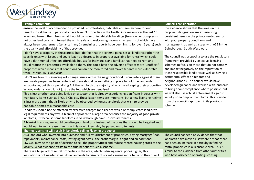| lest Lindsey                                                                                                                                                                                                                                                                                                                                                                                                                                                                                                                                                                                                                                                                                                                                                                                                                                                                                                                                                                                                                                                                                                                                                                                                                                                                                                                                                                                                                                                                                                                                                                                                                                                                                                                                                                                                                                                                                                                                                                                                                                                                                                                                                                                                                                                                                                                                                                                                 |                                                                                                                                                                                                                                                                                                                                                                                                                                                                                                                                                                                                                                                                                                                                                                                                                                                           |
|--------------------------------------------------------------------------------------------------------------------------------------------------------------------------------------------------------------------------------------------------------------------------------------------------------------------------------------------------------------------------------------------------------------------------------------------------------------------------------------------------------------------------------------------------------------------------------------------------------------------------------------------------------------------------------------------------------------------------------------------------------------------------------------------------------------------------------------------------------------------------------------------------------------------------------------------------------------------------------------------------------------------------------------------------------------------------------------------------------------------------------------------------------------------------------------------------------------------------------------------------------------------------------------------------------------------------------------------------------------------------------------------------------------------------------------------------------------------------------------------------------------------------------------------------------------------------------------------------------------------------------------------------------------------------------------------------------------------------------------------------------------------------------------------------------------------------------------------------------------------------------------------------------------------------------------------------------------------------------------------------------------------------------------------------------------------------------------------------------------------------------------------------------------------------------------------------------------------------------------------------------------------------------------------------------------------------------------------------------------------------------------------------------------|-----------------------------------------------------------------------------------------------------------------------------------------------------------------------------------------------------------------------------------------------------------------------------------------------------------------------------------------------------------------------------------------------------------------------------------------------------------------------------------------------------------------------------------------------------------------------------------------------------------------------------------------------------------------------------------------------------------------------------------------------------------------------------------------------------------------------------------------------------------|
| <b>Example comments</b>                                                                                                                                                                                                                                                                                                                                                                                                                                                                                                                                                                                                                                                                                                                                                                                                                                                                                                                                                                                                                                                                                                                                                                                                                                                                                                                                                                                                                                                                                                                                                                                                                                                                                                                                                                                                                                                                                                                                                                                                                                                                                                                                                                                                                                                                                                                                                                                      | <b>Council's consideration</b>                                                                                                                                                                                                                                                                                                                                                                                                                                                                                                                                                                                                                                                                                                                                                                                                                            |
| ensure the level of accommodation provided is comfortable, habitable and somewhere for our<br>tenants to call home. I personally have taken 3 properties in the North Lincs region over the last 13<br>years and turned them from what I would consider uninhabitable buildings (from owner occupiers -<br>not other landlords) and turned them into safe and welcoming havens - my tenants of which have<br>always been long termers (tenants in my 1 remaining property have been in situ for over 6 years) such<br>the quality and affordability of that provided.<br>I don't have a property in these areas, but I do feel that the scheme penalises all landlords rather the<br>specific ones with issues and could lead to a decrease in properties available for rental which could<br>have a detrimental effect on affordable houses for individuals and families that need to rent and<br>could reduce the properties available to them. This could have the adverse effect of more 'unofficial'<br>properties which means that conditions couldn't be monitored and makes tenants more vulnerable<br>from unscrupulous landlords.<br>I don't see how this licencing will change issues within the neighbourhood. I completely agree if there<br>are unsafe properties been rented out there should be something in place to hold the landlords<br>accountable, but this is penalising ALL the landlords the majority of which are keeping their properties<br>in good order, should it not just be the few which are penalised.<br>This is just another cost being levied on a sector that is already experiencing significant increases with<br>mandatory items such as EPCs, EICRs etc. These latter items are important, but a new licensing regime<br>is just more admin that is likely only to be observed by honest landlords that wish to provide<br>habitable homes at a reasonable cost.<br>Landlords should not be affected by excessive charges for a licence which only duplicates landlord's<br>legal requirements anyway. A blanket approach to a large area penalises the majority of good private<br>landlords just because some landlords in Gainsborough have unsavoury tenants.<br>A blanket licensing fee would penalise good landlords instead of the ones that should be targeted and<br>would lead to an increase in rents as this would inevitably be passed on to tenants | the evidence shows that the areas in the<br>proposed designation are experiencing<br>persistent issues in the private rented sector<br>with poor property conditions and<br>management, as well as issues with ASB in the<br>Gainsborough South West ward.<br>The council was proposing to use the regulatory<br>framework provided by selective licensing<br>schemes to focus on those that do not comply<br>and impact negatively on the reputation of<br>those responsible landlords as well as having a<br>detrimental effect on tenants and<br>neighbourhoods. The council would have<br>developed guidance and worked with landlords<br>to bring about compliance where possible, but<br>we will also use robust enforcement against<br>wilfully non-compliant landlords. This is evident<br>from the council's approach in its previous<br>scheme. |
| Theme: Licensing will result in landlords selling / leaving the sector                                                                                                                                                                                                                                                                                                                                                                                                                                                                                                                                                                                                                                                                                                                                                                                                                                                                                                                                                                                                                                                                                                                                                                                                                                                                                                                                                                                                                                                                                                                                                                                                                                                                                                                                                                                                                                                                                                                                                                                                                                                                                                                                                                                                                                                                                                                                       |                                                                                                                                                                                                                                                                                                                                                                                                                                                                                                                                                                                                                                                                                                                                                                                                                                                           |
| As a landlord who invested into purchase and full refurbishment of properties, paying mortgage/loan<br>repayments, maintenance costs, letting agent costs - the profit margin is tight and an additional<br>£675.00 may be the point of decision to sell the property(ties) and reduce rented housing stock to the<br>locality. What evidence exists to the true benefit of such a scheme?<br>There is a huge lack of rental properties in the area, which is driving rental prices higher, this<br>legislation is not needed it will drive landlords to raise rents or sell causing more to be on the council                                                                                                                                                                                                                                                                                                                                                                                                                                                                                                                                                                                                                                                                                                                                                                                                                                                                                                                                                                                                                                                                                                                                                                                                                                                                                                                                                                                                                                                                                                                                                                                                                                                                                                                                                                                               | The council has seen no evidence that that<br>landlords have moved elsewhere or that there<br>has been an increase in difficulty in finding<br>rental properties in a licensable area. This is<br>similar to the evidence from other authorities<br>who have also been operating licensing                                                                                                                                                                                                                                                                                                                                                                                                                                                                                                                                                                |
|                                                                                                                                                                                                                                                                                                                                                                                                                                                                                                                                                                                                                                                                                                                                                                                                                                                                                                                                                                                                                                                                                                                                                                                                                                                                                                                                                                                                                                                                                                                                                                                                                                                                                                                                                                                                                                                                                                                                                                                                                                                                                                                                                                                                                                                                                                                                                                                                              |                                                                                                                                                                                                                                                                                                                                                                                                                                                                                                                                                                                                                                                                                                                                                                                                                                                           |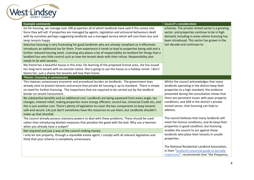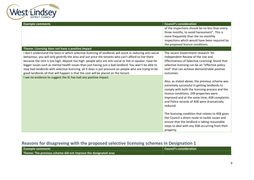

| <b>Example comments</b>                                                                                    | <b>Council's consideration</b>                    |
|------------------------------------------------------------------------------------------------------------|---------------------------------------------------|
|                                                                                                            | of the inspections should be no less than every   |
|                                                                                                            | three months, to avoid harassment". This is       |
|                                                                                                            | more frequently than the six-monthly              |
|                                                                                                            | inspections which would have been required by     |
|                                                                                                            | the proposed licence conditions.                  |
| Theme: Licensing does not have a positive impact                                                           |                                                   |
| I don't understand the basis in which selective licencing of landlords will assist in reducing anti-social | The recent Government research 'An                |
| behaviour, you will only gentrify the area and out price the tenants who can't afford to live there        | Independent Review of the Use and                 |
| because the rent is too high, deposit too high. people who are anti-social or live in squalor, have far    | Effectiveness of Selective Licensing' found that  |
| bigger issues such as mental health issues than just having just a bad landlord. You won't be able to      | selective licensing can be an "effective policy   |
| stop bad landlords with selective licencing. all it does is put pressure on people who are trying to be    | tool" that can achieve demonstrable positive      |
| good landlords all that will happen is that the cost will be placed on the tenant.                         | outcomes.                                         |
| I see no evidence to suggest the SL has had any positive impact.                                           |                                                   |
|                                                                                                            | Also, as stated above, the previous scheme was    |
|                                                                                                            | extremely successful in getting landlords to      |
|                                                                                                            | comply with both the licensing process and the    |
|                                                                                                            | licence conditions. 249 properties were           |
|                                                                                                            | improved and at the same time, ASB complaints     |
|                                                                                                            | and Police records of ASB were dramatically       |
|                                                                                                            | reduced.                                          |
|                                                                                                            |                                                   |
|                                                                                                            | The licensing condition that relates to ASB gives |
|                                                                                                            | the Council a direct route to tackle issues and   |
|                                                                                                            | ensure that the landlord is taking reasonable     |
|                                                                                                            | steps to deal with any ASB occurring from their   |
|                                                                                                            |                                                   |
|                                                                                                            | property.                                         |

# <span id="page-8-0"></span>**Reasons for disagreeing with the proposed selective licensing schemes in Designation 1**

| Council's consideration<br><b>Example comments</b>             |  |
|----------------------------------------------------------------|--|
| Theme: The previous scheme did not improve the designated area |  |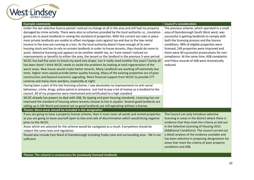| <b>Example comments</b>                                                                                                                                                                                                                                                                                                                                                                                                                                                                                                                                                                                                                                                                                                                                                                                                                                                                                                                                                                                                                                                                                                                                                                                                                                                                                                                                                                                                                                                                                                                                                                                                                                                                                                                                                                                                                                                                                                                                                                                                                                             | <b>Council's consideration</b>                                                                                                                                                                                                                                                                                                                                                                                                                        |
|---------------------------------------------------------------------------------------------------------------------------------------------------------------------------------------------------------------------------------------------------------------------------------------------------------------------------------------------------------------------------------------------------------------------------------------------------------------------------------------------------------------------------------------------------------------------------------------------------------------------------------------------------------------------------------------------------------------------------------------------------------------------------------------------------------------------------------------------------------------------------------------------------------------------------------------------------------------------------------------------------------------------------------------------------------------------------------------------------------------------------------------------------------------------------------------------------------------------------------------------------------------------------------------------------------------------------------------------------------------------------------------------------------------------------------------------------------------------------------------------------------------------------------------------------------------------------------------------------------------------------------------------------------------------------------------------------------------------------------------------------------------------------------------------------------------------------------------------------------------------------------------------------------------------------------------------------------------------------------------------------------------------------------------------------------------------|-------------------------------------------------------------------------------------------------------------------------------------------------------------------------------------------------------------------------------------------------------------------------------------------------------------------------------------------------------------------------------------------------------------------------------------------------------|
| Under the last selective licence period I noticed no change at all in the area and still had my property<br>damaged by crime activity. There were also no schemes provided by the local authority i.e., insulation<br>grants etc to assist landlords in raising the standard of properties. With the current tax rules in place<br>most private landlords are unable to offset mortgage costs against tax and due to the low rental<br>income in the area are running at a loss. As the local authority doesn't have enough of its own<br>housing stock and has to rely on private landlords in order to house tenants, they should do more to<br>assist. Selective licensing just appears to be another stealth tax, as I have stated I noticed no<br>improvements or benefits to either the area, the tenant or the landlord in the previous 5-year period.<br>WLDC has had five years to knock my ward into shape. Can it really need another five years? Surely all<br>has been done! I think WLDC needs to tackle the problems by looking at total regeneration of the<br>worst areas. New house would create better tenants. Many Landlords are working off extremely low<br>rents. Higher rents would provide better quality housing. Many of the existing properties are of poor<br>construction and beyond economic upgrading. More financial support from WLDC to provide CTT<br>cameras and many more wardens, especially at night.<br>Having been a part of the last licensing scheme, I saw absolutely no improvements to anti-social<br>behaviour, crime, drugs, police patrol or presence. Just had to pay a lot of money as a landlord to the<br>council. All of my properties were maintained and certificated to a high standard<br>WLDC already has powers to deal with ASB, fly tipping and poor housing standards. Licensing has not<br>improved the standard of housing where tenants choose to live in squalor. Several good landlords are<br>selling up in SW Ward and several not so good landlords are still operating without a license. | The previous scheme, which operated in a small<br>area of Gainsborough South West ward, was<br>successful in getting landlords to comply with<br>both the licensing process and the licence<br>conditions. 98% of eligible properties were<br>licensed, 249 properties were improved and<br>there were 40 successful prosecutions for non-<br>compliance. At the same time, ASB complaints<br>and Police records of ASB were dramatically<br>reduced. |
| Theme: More areas should be included in the designation                                                                                                                                                                                                                                                                                                                                                                                                                                                                                                                                                                                                                                                                                                                                                                                                                                                                                                                                                                                                                                                                                                                                                                                                                                                                                                                                                                                                                                                                                                                                                                                                                                                                                                                                                                                                                                                                                                                                                                                                             |                                                                                                                                                                                                                                                                                                                                                                                                                                                       |
| If you are going to have a property license scheme, then it must cover all wards and rented properties<br>as you are going to leave yourself open to bias and calls of discrimination which would bring negative<br>press to the WLDC.                                                                                                                                                                                                                                                                                                                                                                                                                                                                                                                                                                                                                                                                                                                                                                                                                                                                                                                                                                                                                                                                                                                                                                                                                                                                                                                                                                                                                                                                                                                                                                                                                                                                                                                                                                                                                              | The Council can only introduce selective<br>licensing in areas in the district where there is<br>evidence that they meet the criteria as laid out                                                                                                                                                                                                                                                                                                     |
| Areas which are selected for the scheme would be castigated as a result. Everywhere should be<br>subject the same laws and regulation.                                                                                                                                                                                                                                                                                                                                                                                                                                                                                                                                                                                                                                                                                                                                                                                                                                                                                                                                                                                                                                                                                                                                                                                                                                                                                                                                                                                                                                                                                                                                                                                                                                                                                                                                                                                                                                                                                                                              | in the Selective Licensing of Housing 2015<br>(Additional Conditions). The council carried out<br>a detail analysis of the evidence available and<br>has been selective in proposing designations for<br>areas that meet the criteria of poor property<br>conditions and ASB.                                                                                                                                                                         |
| Should also include East Ward of Gainsborough including Foxby Lane and surrounding area - SW is not<br>sufficient                                                                                                                                                                                                                                                                                                                                                                                                                                                                                                                                                                                                                                                                                                                                                                                                                                                                                                                                                                                                                                                                                                                                                                                                                                                                                                                                                                                                                                                                                                                                                                                                                                                                                                                                                                                                                                                                                                                                                   |                                                                                                                                                                                                                                                                                                                                                                                                                                                       |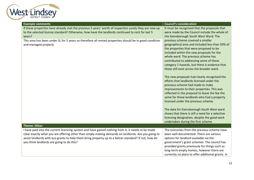

| <b>Example comments</b>                                                                                | <b>Council's consideration</b>                                                               |
|--------------------------------------------------------------------------------------------------------|----------------------------------------------------------------------------------------------|
| If these properties have already met the previous 5 years' worth of inspection surely they are now up  | It must be recognised that the proposals that                                                |
| to the selected license standard? Otherwise, how have the landlords continued to rent for last 5       | were made by the Council include the whole of                                                |
| years?                                                                                                 | the Gainsborough South West Ward. The                                                        |
| This area has been under SL for 5 years so therefore all rented properties should be in good condition | previous scheme covered a smaller                                                            |
| and managed properly                                                                                   | geographical area and included less than 50% of                                              |
|                                                                                                        | the properties that were proposed to be                                                      |
|                                                                                                        | included within the new proposals for the                                                    |
|                                                                                                        | whole ward. The previous scheme has                                                          |
|                                                                                                        | contributed to addressing some of these                                                      |
|                                                                                                        | category 1 hazards, but there is evidence that                                               |
|                                                                                                        | these still exist across the broader ward.                                                   |
|                                                                                                        |                                                                                              |
|                                                                                                        | The new proposals had clearly recognised the                                                 |
|                                                                                                        | efforts that landlords licensed under the                                                    |
|                                                                                                        | previous scheme had made to make                                                             |
|                                                                                                        | improvements to their properties. This was<br>reflected in the proposal to leave the fee the |
|                                                                                                        | same for those landlords who had a property                                                  |
|                                                                                                        | licensed under the previous scheme.                                                          |
|                                                                                                        |                                                                                              |
|                                                                                                        | The data for Gainsborough South West ward                                                    |
|                                                                                                        | shows that there is still a need for a selective                                             |
|                                                                                                        | licensing designation, despite the good work                                                 |
|                                                                                                        | undertaken during the first scheme                                                           |
| <b>Theme: Other</b>                                                                                    |                                                                                              |
| I have paid into the current licencing system and have gained nothing from it, it needs to be made     | The outcomes from the previous scheme have                                                   |
| clear exactly what you are offering other than simply making demands on landlords. Are you going to    | been well documented. There are various                                                      |
| assist landlords with eco grants to help them bring property up to a better standard? If not, how do   | options for landlord available via the                                                       |
| you think landlords are going to do this?                                                              | government's grant schemes. The council has                                                  |
|                                                                                                        | provided grants previously for things such as                                                |
|                                                                                                        | long-term empty homes, however there are                                                     |
|                                                                                                        | currently no plans to offer additional grants. In                                            |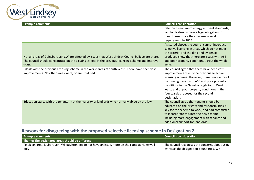

| <b>Example comments</b>                                                                                                                                                                                              | <b>Council's consideration</b>                                                                                                                                                                                                                                                                                                                  |
|----------------------------------------------------------------------------------------------------------------------------------------------------------------------------------------------------------------------|-------------------------------------------------------------------------------------------------------------------------------------------------------------------------------------------------------------------------------------------------------------------------------------------------------------------------------------------------|
|                                                                                                                                                                                                                      | relation to minimum energy efficient standards,<br>landlords already have a legal obligation to<br>meet these, since they became a legal<br>requirement in 2015.                                                                                                                                                                                |
| Not all areas of Gainsborough SW are affected by issues that West Lindsey Council believe are there.<br>The council should concentrate on the existing streets in the previous licencing scheme and improve<br>them. | As stated above, the council cannot introduce<br>selective licensing in areas which do not meet<br>the criteria, and the data and evidence<br>produced show that there are issues with ASB<br>and poor property conditions across the whole<br>ward.                                                                                            |
| I dealt with the previous licensing scheme in the worst areas of South West. There have been vast<br>improvements. No other areas were, or are, that bad.                                                            | The council agree that there have been vast<br>improvements due to the previous selective<br>licensing scheme. However, there is evidence of<br>continuing issues with ASB and poor property<br>conditions in the Gainsborough South West<br>ward, and of poor property conditions in the<br>four wards proposed for the second<br>designation, |
| Education starts with the tenants - not the majority of landlords who normally abide by the law                                                                                                                      | The council agree that tenants should be<br>educated on their rights and responsibilities is<br>key for the scheme to work, and had committed<br>to incorporate this into the new scheme,<br>including more engagement with tenants and<br>additional support for landlords                                                                     |

### <span id="page-11-0"></span>**Reasons for disagreeing with the proposed selective licensing scheme in Designation 2**

| <b>Example comments</b>                                                                        | <b>Council's consideration</b>                  |
|------------------------------------------------------------------------------------------------|-------------------------------------------------|
| Theme: The designated areas should be different                                                |                                                 |
| To big an area. Blyborough, Willoughton etc do not have an issue, more on the camp at Hemswell | The council recognises the concerns about using |
| only                                                                                           | wards as the designation boundaries. We         |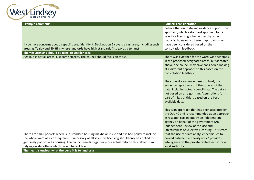

| <b>Example comments</b>                                                                                  | <b>Council's consideration</b>                    |
|----------------------------------------------------------------------------------------------------------|---------------------------------------------------|
|                                                                                                          | believe that our data and evidence support this   |
|                                                                                                          | approach, which a standard approach for ta        |
|                                                                                                          | selective licensing scheme used by other          |
|                                                                                                          | councils, however a different approach may        |
| If you have concerns about a specific area identify it. Designation 2 covers a vast area, including such | have been considered based on the                 |
| areas as Tealby and Six Hills where landlords have high standards (I speak as a tenant)                  | consultation feedback.                            |
| Theme: Licensing should be used on smaller area                                                          |                                                   |
| Again, it is not all areas, just some streets. The council should focus on those.                        | There was evidence for the ward-wide schemes      |
|                                                                                                          | in the proposed designated areas, but as stated   |
|                                                                                                          | above, the council may have considered looking    |
|                                                                                                          | at a different approach to this based on the      |
|                                                                                                          | consultation feedback.                            |
|                                                                                                          |                                                   |
|                                                                                                          | The council's evidence base is robust, the        |
|                                                                                                          | evidence report sets out the sources of the       |
|                                                                                                          | data, including actual council data. The data is  |
|                                                                                                          | not based on an algorithm. Assumptions form       |
|                                                                                                          | part of this, but this is based on the best       |
|                                                                                                          | available data.                                   |
|                                                                                                          |                                                   |
|                                                                                                          | This is an approach that has been accepted by     |
|                                                                                                          | the DLUHC and is recommended as an approach       |
|                                                                                                          | in research carried out by an independent         |
|                                                                                                          | agency on behalf of the government (An            |
|                                                                                                          | Independent Review of the Use and                 |
|                                                                                                          | Effectiveness of Selective Licensing. This states |
| There are small pockets where sub-standard housing maybe an issue and it is bad policy to include        | that the use of "data analytic techniques to      |
| the whole ward as a consequence. If necessary at all selective licensing should only be applied to       | pooled data held authority wide" provides         |
| genuinely poor-quality housing. The council needs to gather more actual data on this rather than         | intelligence on the private rented sector for a   |
| relying on algorithms which have inherent bias.                                                          | local authority.                                  |
| Theme: It is unclear what the benefit is to landlords                                                    |                                                   |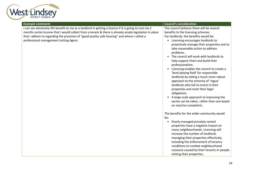

| <b>Example comments</b>                                                                                                                                                                                                                                                                                                                                  | <b>Council's consideration</b>                                                                                                                                                                                                                                                                                                                                                                                                                                                                                                                                                                                                                                                                                                                                    |
|----------------------------------------------------------------------------------------------------------------------------------------------------------------------------------------------------------------------------------------------------------------------------------------------------------------------------------------------------------|-------------------------------------------------------------------------------------------------------------------------------------------------------------------------------------------------------------------------------------------------------------------------------------------------------------------------------------------------------------------------------------------------------------------------------------------------------------------------------------------------------------------------------------------------------------------------------------------------------------------------------------------------------------------------------------------------------------------------------------------------------------------|
| I can see absolutely NO benefit to me as a landlord in getting a licence if it is going to cost me 2<br>months rental income that I would collect from a tenant & there is already ample legislation in place<br>that I adhere to regarding the provision of "good quality safe housing" and where I utilise a<br>professional management Letting Agent. | The council believes there will be several<br>benefits to the licensing schemes.<br>For landlords, the benefits would be:<br>• Licensing encourages landlords to<br>proactively manage their properties and to<br>take reasonable action to address<br>problems.<br>• The council will work with landlords to<br>help support them and build their<br>professionalism.<br>• Licensing enables the council to create a<br>'level playing field' for responsible<br>landlords by taking a much more robust<br>approach to the minority of 'rogue'<br>landlords who fail to invest in their<br>properties and meet their legal<br>obligations.<br>• A large scale approach to improving the<br>sector can be taken, rather than one based<br>on reactive complaints. |
|                                                                                                                                                                                                                                                                                                                                                          | The benefits for the wider community would<br>be:<br>Poorly managed privately rented<br>$\bullet$<br>properties have a negative impact on<br>many neighbourhoods. Licensing will<br>increase the number of landlords<br>managing their properties effectively,<br>including the enforcement of tenancy<br>conditions to combat neighbourhood<br>nuisance caused by their tenants or people<br>visiting their properties.                                                                                                                                                                                                                                                                                                                                          |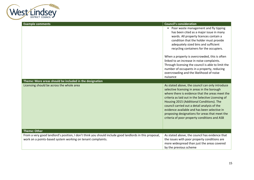

| <b>Example comments</b>                                                                                                                                                | <b>Council's consideration</b>                                                                                                                                                                                                                                                                                                                                                                                                                         |
|------------------------------------------------------------------------------------------------------------------------------------------------------------------------|--------------------------------------------------------------------------------------------------------------------------------------------------------------------------------------------------------------------------------------------------------------------------------------------------------------------------------------------------------------------------------------------------------------------------------------------------------|
|                                                                                                                                                                        | • Poor waste management and fly tipping<br>has been cited as a major issue in many<br>wards. All property licences contain a<br>condition that the holder must provide<br>adequately sized bins and sufficient<br>recycling containers for the occupiers.                                                                                                                                                                                              |
|                                                                                                                                                                        | When a property is overcrowded, this is often<br>linked to an increase in noise complaints.<br>Through licensing the council is able to limit the<br>number of occupants in a property, reducing<br>overcrowding and the likelihood of noise<br>nuisance                                                                                                                                                                                               |
| Theme: More areas should be included in the designation                                                                                                                |                                                                                                                                                                                                                                                                                                                                                                                                                                                        |
| Licensing should be across the whole area                                                                                                                              | As stated above, the council can only introduce<br>selective licensing in areas in the borough<br>where there is evidence that the areas meet the<br>criteria as laid out in the Selective Licensing of<br>Housing 2015 (Additional Conditions). The<br>council carried out a detail analysis of the<br>evidence available and has been selective in<br>proposing designations for areas that meet the<br>criteria of poor property conditions and ASB |
| <b>Theme: Other</b>                                                                                                                                                    |                                                                                                                                                                                                                                                                                                                                                                                                                                                        |
| From a very good landlord's position, I don't think you should include good landlords in this proposal,<br>work on a points-based system working on tenant complaints. | As stated above, the council has evidence that<br>the issues with poor property conditions are<br>more widespread than just the areas covered<br>by the previous scheme                                                                                                                                                                                                                                                                                |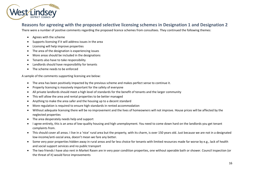

#### <span id="page-15-0"></span>**Reasons for agreeing with the proposed selective licensing schemes in Designation 1 and Designation 2**

There were a number of positive comments regarding the proposed licence schemes from consultees. They continued the following themes:

- Agrees with the scheme
- Supports licensing if it will address issues in the area
- Licensing will help improve properties
- The area of the designation is experiencing issues
- More areas should be included in the designations
- Tenants also have to take responsibility
- Landlords should have responsibility for tenants
- The scheme needs to be enforced

A sample of the comments supporting licensing are below:

- The area has been positively impacted by the previous scheme and makes perfect sense to continue it.
- Property licensing is massively important for the safety of everyone
- All private landlords should meet a high level of standards for the benefit of tenants and the larger community
- This will allow the area and rental properties to be better managed
- Anything to make the area safer and the housing up to a decent standard
- More regulation is required to ensure high standards in rented accommodation
- Without adequate licensing there will be no improvement and the lives of homeowners will not improve. House prices will be affected by the neglected properties
- The area desperately needs help and support
- I agree entirely, this is an area of low-quality housing and high unemployment. You need to come down hard on the landlords you get tenant complaints from.
- This should cover all areas. I live in a 'nice' rural area but the property, with its charm, is over 150 years old. Just because we are not in a designated low-income/anti-social area, doesn't mean we fare any better.
- Some very poor properties hidden away in rural areas and far less choice for tenants with limited resources made far worse by e.g., lack of health and social support services and no public transport
- The two friends I have also rent in Market Rasen are in very poor condition properties, one without operable bath or shower. Council inspection (or the threat of it) would force improvements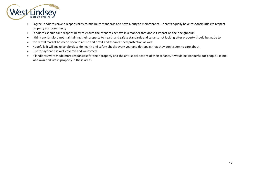

- I agree Landlords have a responsibility to minimum standards and have a duty to maintenance. Tenants equally have responsibilities to respect property and community
- Landlords should take responsibility to ensure their tenants behave in a manner that doesn't impact on their neighbours
- I think any landlord not maintaining their property to health and safety standards and tenants not looking after property should be made to
- the rental market has been open to abuse and profit and tenants need protection as well.
- Hopefully it will make landlords to do health and safety checks every year and do repairs that they don't seem to care about
- Just to say that it is well covered and welcomed.
- If landlords were made more responsible for their property and the anti-social actions of their tenants, it would be wonderful for people like me who own and live in property in these areas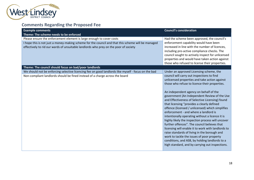

<span id="page-17-0"></span>

| <b>Example comments</b><br>Theme: The scheme needs to be enforced                                                                                                                                                                                                                                                                                                                                                                  | <b>Council's consideration</b>                                                                                                                                                                                                                                                                                                                                                                                                                                                                                                                                                                                                                                                                                                                                                                                                                        |
|------------------------------------------------------------------------------------------------------------------------------------------------------------------------------------------------------------------------------------------------------------------------------------------------------------------------------------------------------------------------------------------------------------------------------------|-------------------------------------------------------------------------------------------------------------------------------------------------------------------------------------------------------------------------------------------------------------------------------------------------------------------------------------------------------------------------------------------------------------------------------------------------------------------------------------------------------------------------------------------------------------------------------------------------------------------------------------------------------------------------------------------------------------------------------------------------------------------------------------------------------------------------------------------------------|
| Please ensure the enforcement element is large enough to cover costs<br>I hope this is not just a money-making scheme for the council and that this scheme will be managed<br>effectively to rid our wards of unsuitable landlords who prey on the poor of society<br>Theme: The council should focus on bad/poor landlords<br>We should not be enforcing selective licencing fee on good landlords like myself - focus on the bad | Had the scheme been approved, the council's<br>enforcement capability would have been<br>increased in line with the number of licences,<br>including pro-active compliance checks. The<br>council sought to actively inspect for unlicensed<br>properties and would have taken action against<br>those who refused to license their properties.<br>Under an approved Licensing scheme, the                                                                                                                                                                                                                                                                                                                                                                                                                                                            |
| Non-compliant landlords should be fined instead of a charge across the board                                                                                                                                                                                                                                                                                                                                                       | council will carry out inspections to find<br>unlicensed properties and take action against<br>those who refuse to licence their properties.<br>An independent agency on behalf of the<br>government (An Independent Review of the Use<br>and Effectiveness of Selective Licensing) found<br>that licensing "provides a clearly defined<br>offence (licensed / unlicensed) which simplifies<br>enforcement - and where a landlord is<br>intentionally operating without a licence it is<br>highly likely the inspection process will uncover<br>further offences". The council believes that<br>licensing will enable it to work with landlords to<br>raise standards of living in the borough and<br>work to tackle the issues of poor property<br>conditions, and ASB, by holding landlords to a<br>high standard, and by carrying out inspections. |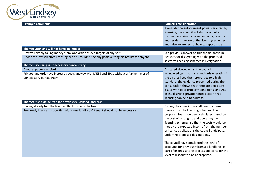

| <b>Example comments</b>                                                                            | <b>Council's consideration</b>                                                                 |
|----------------------------------------------------------------------------------------------------|------------------------------------------------------------------------------------------------|
|                                                                                                    | Alongside the enforcement powers granted by                                                    |
|                                                                                                    | licensing, the council will also carry out a                                                   |
|                                                                                                    | comms campaign to make landlords, tenants                                                      |
|                                                                                                    | and residents aware of the licensing schemes,                                                  |
|                                                                                                    | and raise awareness of how to report issues.                                                   |
| Theme: Licensing will not have an impact                                                           |                                                                                                |
| How will simply taking money from landlords achieve targets of any sort                            | See previous answer on this theme above in                                                     |
| Under the last selective licensing period I couldn't see any positive tangible results for anyone. | Reasons for disagreeing with the proposed                                                      |
|                                                                                                    | selective licensing schemes in Designation 1                                                   |
| Theme: Licensing is unnecessary bureaucracy                                                        |                                                                                                |
| Another paper exercise!                                                                            | As stated above, whilst the council                                                            |
| Private landlords have increased costs anyway with MEES and EPCs without a further layer of        | acknowledges that many landlords operating in                                                  |
| unnecessary bureaucracy                                                                            | the district keep their properties to a high                                                   |
|                                                                                                    | standard, the evidence presented during the                                                    |
|                                                                                                    | consultation shows that there are persistent                                                   |
|                                                                                                    | issues with poor property conditions, and ASB<br>in the district's private rented sector, that |
|                                                                                                    | licensing can help to address.                                                                 |
| Theme: It should be free for previously licensed landlords                                         |                                                                                                |
| Having already had the licence I think it should be free                                           | By law, the council is not allowed to make                                                     |
| Previously licenced properties with same landlord & tenant should not be necessary                 | money from the licensing schemes. The                                                          |
|                                                                                                    | proposed fees have been calculated based on                                                    |
|                                                                                                    | the cost of setting up and operating the                                                       |
|                                                                                                    | licensing schemes, so that the costs would be                                                  |
|                                                                                                    | met by the expected income from the number                                                     |
|                                                                                                    | of licence applications the council anticipate,                                                |
|                                                                                                    | under the proposed designations.                                                               |
|                                                                                                    |                                                                                                |
|                                                                                                    | The council have considered the level of                                                       |
|                                                                                                    | discounts for previously licensed landlords as                                                 |
|                                                                                                    | part of its fees setting process and consider the                                              |
|                                                                                                    | level of discount to be appropriate.                                                           |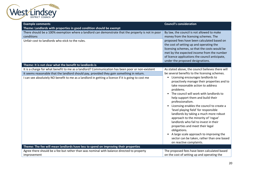

| <b>Example comments</b>                                                                                                                                                                                                                                                                             | <b>Council's consideration</b>                                                                                                                                                                                                                                                                                                                                                                                                                                                                                                                                                                                                                                                         |
|-----------------------------------------------------------------------------------------------------------------------------------------------------------------------------------------------------------------------------------------------------------------------------------------------------|----------------------------------------------------------------------------------------------------------------------------------------------------------------------------------------------------------------------------------------------------------------------------------------------------------------------------------------------------------------------------------------------------------------------------------------------------------------------------------------------------------------------------------------------------------------------------------------------------------------------------------------------------------------------------------------|
| Theme: Landlords with properties in good condition should be exempt                                                                                                                                                                                                                                 |                                                                                                                                                                                                                                                                                                                                                                                                                                                                                                                                                                                                                                                                                        |
| There should be a 100% exemption where a landlord can demonstrate that the property is not in poor<br>conditions<br>Unfair cost to landlords who stick to the rules.                                                                                                                                | By law, the council is not allowed to make<br>money from the licensing schemes. The<br>proposed fees have been calculated based on<br>the cost of setting up and operating the                                                                                                                                                                                                                                                                                                                                                                                                                                                                                                         |
|                                                                                                                                                                                                                                                                                                     | licensing schemes, so that the costs would be<br>met by the expected income from the number<br>of licence applications the council anticipate,<br>under the proposed designations.                                                                                                                                                                                                                                                                                                                                                                                                                                                                                                     |
| Theme: It is not clear what the benefit to landlords is                                                                                                                                                                                                                                             |                                                                                                                                                                                                                                                                                                                                                                                                                                                                                                                                                                                                                                                                                        |
| It is a charge for what benefit to me as a landlord? Communication has been poor or non-existent<br>It seems reasonable that the landlord should pay, provided they gain something in return.<br>I can see absolutely NO benefit to me as a landlord in getting a licence if it is going to cost me | As stated above, the council believes there will<br>be several benefits to the licensing schemes.<br>Licensing encourages landlords to<br>$\bullet$<br>proactively manage their properties and to<br>take reasonable action to address<br>problems.<br>• The council will work with landlords to<br>help support them and build their<br>professionalism.<br>Licensing enables the council to create a<br>$\bullet$<br>'level playing field' for responsible<br>landlords by taking a much more robust<br>approach to the minority of 'rogue'<br>landlords who fail to invest in their<br>properties and meet their legal<br>obligations.<br>• A large scale approach to improving the |
|                                                                                                                                                                                                                                                                                                     | sector can be taken, rather than one based<br>on reactive complaints.                                                                                                                                                                                                                                                                                                                                                                                                                                                                                                                                                                                                                  |
| Theme: The fee will mean landlords have less to spend on improving their properties                                                                                                                                                                                                                 |                                                                                                                                                                                                                                                                                                                                                                                                                                                                                                                                                                                                                                                                                        |
| Agree there should be a fee but rather than was nominal with balance directed to property<br>improvement                                                                                                                                                                                            | The proposed fees have been calculated based<br>on the cost of setting up and operating the                                                                                                                                                                                                                                                                                                                                                                                                                                                                                                                                                                                            |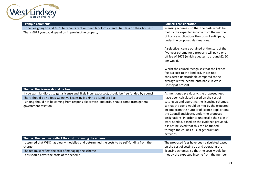

| <b>Example comments</b>                                                                                          | <b>Council's consideration</b>                                                                                                                                                                                                                                                                                                                                                                                 |
|------------------------------------------------------------------------------------------------------------------|----------------------------------------------------------------------------------------------------------------------------------------------------------------------------------------------------------------------------------------------------------------------------------------------------------------------------------------------------------------------------------------------------------------|
| Is the Fee going to add £675 to tenants rent or mean landlords spend £675 less on their houses?                  | licensing schemes, so that the costs would be                                                                                                                                                                                                                                                                                                                                                                  |
| That's £675 you could spend on improving the property                                                            | met by the expected income from the number<br>of licence applications the council anticipate,<br>under the proposed designations.                                                                                                                                                                                                                                                                              |
|                                                                                                                  | A selective licence obtained at the start of the<br>five-year scheme for a property will pay a one-<br>off fee of £675 (which equates to around £2.60<br>per week).                                                                                                                                                                                                                                            |
|                                                                                                                  | Whilst the council recognises that the licence<br>fee is a cost to the landlord, this is not<br>considered unaffordable compared to the<br>average rental income obtainable in West<br>Lindsey at present.                                                                                                                                                                                                     |
|                                                                                                                  |                                                                                                                                                                                                                                                                                                                                                                                                                |
| Theme: The licence should be free                                                                                |                                                                                                                                                                                                                                                                                                                                                                                                                |
| If you want landlords to get a license and likely incur extra cost, should be free funded by council             | As mentioned previously, the proposed fees                                                                                                                                                                                                                                                                                                                                                                     |
| There should be no fees. Selective Licensing is akin to a Landlord Tax                                           | have been calculated based on the cost of                                                                                                                                                                                                                                                                                                                                                                      |
| Funding should not be coming from responsible private landlords. Should come from general<br>government taxation | setting up and operating the licensing schemes,<br>so that the costs would be met by the expected<br>income from the number of licence applications<br>the Council anticipate, under the proposed<br>designations. In order to undertake the scale of<br>work needed, based on the evidence provided,<br>it is not believed that this can be funded<br>through the council's usual general fund<br>activities. |
| Theme: The fee must reflect the cost of running the scheme                                                       |                                                                                                                                                                                                                                                                                                                                                                                                                |
| I assumed that WDC has clearly modelled and determined the costs to be self-funding from the<br>charge           | The proposed fees have been calculated based<br>on the cost of setting up and operating the                                                                                                                                                                                                                                                                                                                    |
| The fee must reflect the cost of managing the scheme                                                             | licensing schemes, so that the costs would be                                                                                                                                                                                                                                                                                                                                                                  |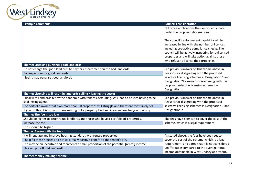

| <b>Example comments</b>                                                                                | <b>Council's consideration</b>                                                                                                                                                                                                                                                                 |
|--------------------------------------------------------------------------------------------------------|------------------------------------------------------------------------------------------------------------------------------------------------------------------------------------------------------------------------------------------------------------------------------------------------|
|                                                                                                        | of licence applications the Council anticipate,<br>under the proposed designations.                                                                                                                                                                                                            |
|                                                                                                        | The council's enforcement capability will be<br>increased in line with the number of licences,<br>including pro-active compliance checks. The<br>council will be actively inspecting for unlicensed<br>properties and will take action against those<br>who refuse to license their properties |
| Theme: Licensing punishes good landlords                                                               |                                                                                                                                                                                                                                                                                                |
| Do not charge the good landlords to pay for enforcement on the bad landlords.                          | See previous answer on this theme above in                                                                                                                                                                                                                                                     |
| Too expensive for good landlords                                                                       | Reasons for disagreeing with the proposed                                                                                                                                                                                                                                                      |
| I feel it may penalise good landlords                                                                  | selective licensing schemes in Designation 1 and<br>Designation 2Reasons for disagreeing with the<br>proposed selective licensing schemes in<br>Designation 1                                                                                                                                  |
| Theme: Licensing will result in landlords selling / leaving the sector                                 |                                                                                                                                                                                                                                                                                                |
| I deal with Landlords hit by the pandemic with tenants defaulting. Will lead to houses having to be    | See previous answer on this theme above in                                                                                                                                                                                                                                                     |
| sold letting agent.                                                                                    | Reasons for disagreeing with the proposed                                                                                                                                                                                                                                                      |
| For portfolio owner that own more than 10 properties will struggle and therefore most likely sell.     | selective licensing schemes in Designation 1 and                                                                                                                                                                                                                                               |
| If you do this, it is not worth me renting out a property I will sell it so one less for you to worry. | Designation 2                                                                                                                                                                                                                                                                                  |
| Theme: The fee is too low                                                                              |                                                                                                                                                                                                                                                                                                |
| Should be higher to deter rogue landlords and those who have a portfolio of properties.                | The fees have been set to cover the cost of the                                                                                                                                                                                                                                                |
| Increase the fee.                                                                                      | scheme, which is a legal requirement.                                                                                                                                                                                                                                                          |
| Fees should be higher.                                                                                 |                                                                                                                                                                                                                                                                                                |
| Theme: Agrees with the fees                                                                            |                                                                                                                                                                                                                                                                                                |
| it will regulate and improve housing standards with rented properties                                  | As stated above, the fees have been set to                                                                                                                                                                                                                                                     |
| I help fix these houses and notice a really positive benefit to the tenant's life.                     | cover the cost of the scheme, which is a legal                                                                                                                                                                                                                                                 |
| Fee may be an incentive and represents a small proportion of the potential [rental] income             | requirement, and agree that it is not considered                                                                                                                                                                                                                                               |
| This will put off bad landlords                                                                        | unaffordable compared to the average rental<br>income obtainable in West Lindsey at present.                                                                                                                                                                                                   |
| Theme: Money-making scheme                                                                             |                                                                                                                                                                                                                                                                                                |
|                                                                                                        |                                                                                                                                                                                                                                                                                                |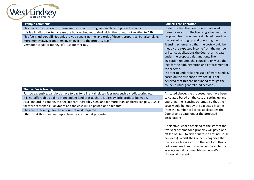

| <b>Example comments</b>                                                                                  | <b>Council's consideration</b>                                                                                                                                                                                                                                                                                                                                                                                                                                                                          |
|----------------------------------------------------------------------------------------------------------|---------------------------------------------------------------------------------------------------------------------------------------------------------------------------------------------------------------------------------------------------------------------------------------------------------------------------------------------------------------------------------------------------------------------------------------------------------------------------------------------------------|
| This is a tax by the council. There are robust and strong laws in place to protect tenants.              | Under the law, the Council is not allowed to                                                                                                                                                                                                                                                                                                                                                                                                                                                            |
| this is a landlord tax to increase the housing budget to deal with other things not relating to ASB.     | make money from the licensing schemes. The                                                                                                                                                                                                                                                                                                                                                                                                                                                              |
| This fee is ludicrous!!! Not only are you penalising the landlords of decent properties, but also taking | proposed fees have been calculated based on                                                                                                                                                                                                                                                                                                                                                                                                                                                             |
| more money away from them investing it into the property itself.                                         | the cost of setting up and operating the                                                                                                                                                                                                                                                                                                                                                                                                                                                                |
| Very poor value for money. It's just another tax.                                                        | licensing schemes, so that the costs would be<br>met by the expected income from the number<br>of licence applications the Council anticipate,<br>under the proposed designations. The<br>legislation requires the council to only use the<br>fees for the administration and enforcement of<br>the scheme.<br>In order to undertake the scale of work needed,<br>based on the evidence provided, it is not<br>believed that this can be funded through the<br>council's usual general fund activities. |
| Theme: Fee is too high                                                                                   |                                                                                                                                                                                                                                                                                                                                                                                                                                                                                                         |
| Far too expensive. Landlords have to pay for all rental related fees now such a credit scoring etc.      | As stated above, the proposed fees have been                                                                                                                                                                                                                                                                                                                                                                                                                                                            |
| It is not affordable at all to independent landlords as there is already little profit to be made.       | calculated based on the cost of setting up and                                                                                                                                                                                                                                                                                                                                                                                                                                                          |
| As a landlord in London, this fee appears incredibly high, and far more than landlords can pay. £100 is  | operating the licensing schemes, so that the                                                                                                                                                                                                                                                                                                                                                                                                                                                            |
| far more reasonable - anymore and the cost will be passed on to tenants                                  | costs would be met by the expected income                                                                                                                                                                                                                                                                                                                                                                                                                                                               |
| They are far too high for the amount of work required.                                                   | from the number of licence applications the                                                                                                                                                                                                                                                                                                                                                                                                                                                             |
| I think that this is an unacceptable extra cost per let property.                                        | Council anticipate, under the proposed<br>designations.                                                                                                                                                                                                                                                                                                                                                                                                                                                 |
|                                                                                                          | A selective licence obtained at the start of the<br>five-year scheme for a property will pay a one-<br>off fee of £675 (which equates to around £2.60<br>per week). Whilst the Council recognises that<br>the licence fee is a cost to the landlord, this is<br>not considered unaffordable compared to the<br>average rental income obtainable in West<br>Lindsey at present.                                                                                                                          |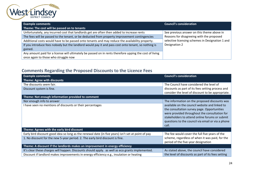

| <b>Example comments</b>                                                                                 | <b>Council's consideration</b>                   |
|---------------------------------------------------------------------------------------------------------|--------------------------------------------------|
| Theme: The cost will be passed on to tenants                                                            |                                                  |
| Unfortunately, any incurred cost that landlords get are often then added to increase rents              | See previous answer on this theme above in       |
| The fees will be passed to the tenant, or be deducted from property improvement contingencies           | Reasons for disagreeing with the proposed        |
| Additional costs would have to be passed onto tenants and may reduce the availability property.         | selective licensing schemes in Designation 1 and |
| If you introduce fees nobody but the landlord would pay it and pass cost onto tenant, so nothing is     | Designation 2                                    |
| gained.                                                                                                 |                                                  |
| Any amount paid for a license will ultimately be passed on in rents therefore upping the cost of living |                                                  |
| once again to those who struggle now                                                                    |                                                  |

# <span id="page-23-0"></span>**Comments Regarding the Proposed Discounts to the Licence Fees**

| <b>Example comments</b>                                                                             | <b>Council's consideration</b>                                                                                                                                                                                                                                 |
|-----------------------------------------------------------------------------------------------------|----------------------------------------------------------------------------------------------------------------------------------------------------------------------------------------------------------------------------------------------------------------|
| Theme: Agree with discounts                                                                         |                                                                                                                                                                                                                                                                |
| The discounts seem fair.                                                                            | The Council have considered the level of                                                                                                                                                                                                                       |
| Discount system is fine.                                                                            | discounts as part of its fees setting process and<br>consider the level of discount to be appropriate.                                                                                                                                                         |
| Theme: Not enough information provided to comment                                                   |                                                                                                                                                                                                                                                                |
| Nor enough info to answer                                                                           | The information on the proposed discounts was                                                                                                                                                                                                                  |
| I have seen no mentions of discounts or their percentages                                           | available on the council website and linked to<br>the consultation survey page. Opportunities<br>were provided throughout the consultation for<br>stakeholders to attend online forums or submit<br>questions to the council via email or via a phone<br>call. |
| Theme: Agrees with the early bird discount                                                          |                                                                                                                                                                                                                                                                |
| Early bird discount good idea so long as the renewal date (in five years) isn't set at point of pay | The fee would cover the full five years of the                                                                                                                                                                                                                 |
| 1. No discount for the new 5-year period. 2. The early bird discount is fine.                       | scheme, regardless of when it was paid, for the<br>period of the five-year designation                                                                                                                                                                         |
| Theme: A discount if the landlords makes an improvement in energy efficiency                        |                                                                                                                                                                                                                                                                |
| It's clear these charges will happen. Discounts should apply. as well as eco grants implemented.    | As stated above, the council have considered                                                                                                                                                                                                                   |
| Discount if landlord makes improvements in energy efficiency e.g., insulation or heating            | the level of discounts as part of its fees setting                                                                                                                                                                                                             |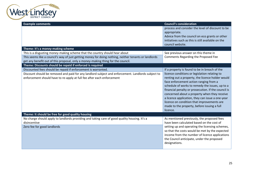

| <b>Example comments</b>                                                                               | <b>Council's consideration</b>                      |
|-------------------------------------------------------------------------------------------------------|-----------------------------------------------------|
|                                                                                                       | process and consider the level of discount to be    |
|                                                                                                       | appropriate.                                        |
|                                                                                                       | Advice from the council on eco grants or other      |
|                                                                                                       | initiatives such as this is still available on the  |
|                                                                                                       | council website.                                    |
| Theme: It's a money-making scheme                                                                     |                                                     |
| This is a disgusting money-making scheme that the country should hear about                           | See previous answer on this theme in                |
| This seems like a council's way of just getting money for doing nothing, neither tenants or landlords | Comments Regarding the Proposed Fee                 |
| get any benefit out of this proposal, only a money-making thing for the council.                      |                                                     |
| Theme: Discounts should be repaid if enforced is required                                             |                                                     |
| Discounted fees should be repaid if enforcement is warranted.                                         | If a property is found to be in breach of the       |
| Discount should be removed and paid for any landlord subject and enforcement. Landlords subject to    | licence conditions or legislation relating to       |
| enforcement should have to re-apply at full fee after each enforcement                                | renting out a property, the licence holder would    |
|                                                                                                       | face enforcement action ranging from a              |
|                                                                                                       | schedule of works to remedy the issues, up to a     |
|                                                                                                       | financial penalty or prosecution. If the council is |
|                                                                                                       | concerned about a property when they receive        |
|                                                                                                       | a licence application, they can issue a one-year    |
|                                                                                                       | licence on condition that improvements are          |
|                                                                                                       | made to the property, before issuing a full         |
|                                                                                                       | licence.                                            |
| Theme: It should be free for good quality housing                                                     |                                                     |
| No charge should apply to landlords providing and taking care of good quality housing. It's a         | As mentioned previously, the proposed fees          |
| disincentive                                                                                          | have been calculated based on the cost of           |
| Zero fee for good landlords                                                                           | setting up and operating the licensing schemes,     |
|                                                                                                       | so that the costs would be met by the expected      |
|                                                                                                       | income from the number of licence applications      |
|                                                                                                       | the Council anticipate, under the proposed          |
|                                                                                                       | designations.                                       |
|                                                                                                       |                                                     |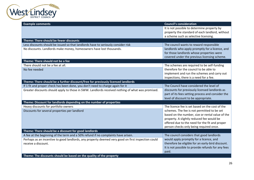

| <b>Example comments</b>                                                                            | <b>Council's consideration</b>                                                         |
|----------------------------------------------------------------------------------------------------|----------------------------------------------------------------------------------------|
|                                                                                                    | It is not possible to determine property by                                            |
|                                                                                                    | property the standard of each landlord, without                                        |
|                                                                                                    | a scheme such as selective licensing.                                                  |
| Theme: There should be fewer discounts                                                             |                                                                                        |
| Less discounts should be issued so that landlords have to seriously consider risk                  | The council wants to reward responsible                                                |
| No discounts. Landlords make money, homeowners have lost thousands.                                | landlords who apply promptly for a licence, and                                        |
|                                                                                                    | for those landlords whose properties were                                              |
| Theme: There should not be a fee                                                                   | covered under the previous licensing scheme.                                           |
|                                                                                                    |                                                                                        |
| There should not be a fee at all.                                                                  | The schemes are required to be self-funding<br>therefore for the council to be able to |
| No fee needed                                                                                      | implement and run the schemes and carry out                                            |
|                                                                                                    | inspections, there is a need for a fee.                                                |
| Theme: There should be a further discount/free for previously licensed landlords                   |                                                                                        |
| If 1 fit and proper check has been done, you don't need to charge again for it                     | The Council have considered the level of                                               |
| Greater discounts should apply to those in SWW. Landlords received nothing of what was promised.   | discounts for previously licensed landlords as                                         |
|                                                                                                    | part of its fees setting process and consider the                                      |
|                                                                                                    | level of discount to be appropriate.                                                   |
| Theme: Discount for landlords depending on the number of properties                                |                                                                                        |
| Heavy discounts for portfolio owners                                                               | The licence fee is set based on the cost of the                                        |
| Discounts for several properties per landlord                                                      | schemes. The fee is not permitted to be set                                            |
|                                                                                                    | based on the number, size or rental value of the                                       |
|                                                                                                    | property. A slightly reduced fee would be                                              |
|                                                                                                    | offered due to the need for the fit and proper                                         |
|                                                                                                    | person checks only being required once.                                                |
| Theme: There should be a discount for good landlords                                               |                                                                                        |
| A fee at the beginning of the term and a 50% refund if no complaints have arisen.                  | The council considers that good landlords                                              |
| Perhaps as an incentive to good landlords, any property deemed very good on first inspection could | would apply promptly for a licence, and                                                |
| receive a discount.                                                                                | therefore be eligible for an early-bird discount.                                      |
|                                                                                                    | It is not possible to provide refunds for any fees<br>paid.                            |
| Theme: The discounts should be based on the quality of the property                                |                                                                                        |
|                                                                                                    |                                                                                        |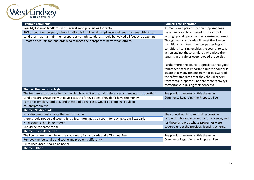

| <b>Example comments</b>                                                                            | <b>Council's consideration</b>                                                                 |
|----------------------------------------------------------------------------------------------------|------------------------------------------------------------------------------------------------|
| Possibly for good landlords with several good properties for rental.                               | As mentioned previously, the proposed fees                                                     |
| 90% discount on property where landlord is in full legal compliance and tenant agrees with status  | have been calculated based on the cost of                                                      |
| Landlords that maintain their properties to high standards should be waived all fees or be exempt  | setting up and operating the licensing schemes.                                                |
| Greater discounts for landlords who manage their properties better than others.                    | Though many landlords will meet the licence                                                    |
|                                                                                                    | conditions, and keep their properties in good                                                  |
|                                                                                                    | condition, licensing enables the council to take                                               |
|                                                                                                    | action against those landlords who place their<br>tenants in unsafe or overcrowded properties. |
|                                                                                                    |                                                                                                |
|                                                                                                    | Furthermore, the council appreciates that good                                                 |
|                                                                                                    | tenant feedback is important, but the council is                                               |
|                                                                                                    | aware that many tenants may not be aware of                                                    |
|                                                                                                    | the safety standards that they should expect                                                   |
|                                                                                                    | from rental properties, nor are tenants always                                                 |
|                                                                                                    | comfortable in raising their concerns.                                                         |
| Theme: The fee is too high                                                                         |                                                                                                |
| The fees are extortionate for Landlords who credit score, gain references and maintain properties. | See previous answer on this theme in                                                           |
| Landlords are struggling with court costs etc for evictions. They don't have the money.            | Comments Regarding the Proposed Fee                                                            |
| I am an exemplary landlord, and these additional costs would be crippling, could be                |                                                                                                |
| counterproductive                                                                                  |                                                                                                |
| <b>Theme: No discounts</b>                                                                         |                                                                                                |
| Why discount? Just charge the fee to anyone                                                        | The council wants to reward responsible                                                        |
| there should not be a discount, it is a fee. I don't get a discount for paying council tax early!  | landlords who apply promptly for a licence, and                                                |
| No discounts should be offered                                                                     | for those landlords whose properties were                                                      |
| Should be the same for all                                                                         | covered under the previous licensing scheme.                                                   |
| Theme: It should be free                                                                           |                                                                                                |
|                                                                                                    |                                                                                                |
| The licence fee should be entirely voluntary for landlords and a 'Nominal Fee'                     | See previous answer on this theme in                                                           |
| Remove the fee totally and tackle any problems differently                                         | Comments Regarding the Proposed Fee                                                            |
| Fully discounted. Should be no fee<br><b>Theme: Other</b>                                          |                                                                                                |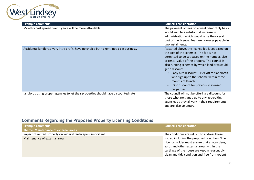

| <b>Example comments</b>                                                                   | <b>Council's consideration</b>                                                                                                                                                                                                                                                                                                                                                                                                                       |
|-------------------------------------------------------------------------------------------|------------------------------------------------------------------------------------------------------------------------------------------------------------------------------------------------------------------------------------------------------------------------------------------------------------------------------------------------------------------------------------------------------------------------------------------------------|
| Monthly cost spread over 5 years will be more affordable                                  | The payment of fees on a weekly/monthly basis<br>would lead to a substantial increase in<br>administration which would raise the overall<br>cost of the licence. Fees are however payable in<br>two instalments.                                                                                                                                                                                                                                     |
| Accidental landlords, very little profit, have no choice but to rent, not a big business. | As stated above, the licence fee is set based on<br>the cost of the schemes. The fee is not<br>permitted to be set based on the number, size<br>or rental value of the property The council is<br>also running schemes by which landlords could<br>get a discount:<br>Early bird discount $-15%$ off for landlords<br>who sign up to the scheme within three<br>months of launch<br>£300 discount for previously licensed<br>$\bullet$<br>properties |
| landlords using proper agencies to let their properties should have discounted rate       | The council will not be offering a discount for<br>those who are signed up to any accrediting<br>agencies as they all vary in their requirements<br>and are also voluntary.                                                                                                                                                                                                                                                                          |

# <span id="page-27-0"></span>**Comments Regarding the Proposed Property Licensing Conditions**

| <b>Example comments</b>                                     | <b>Council's consideration</b>                |
|-------------------------------------------------------------|-----------------------------------------------|
| <b>Theme: Maintenance of external areas</b>                 |                                               |
| Impact of rented property on wider streetscape is important | The conditions are set out to address these   |
| Maintenance of external areas                               | issues, including the proposed condition "The |
|                                                             | Licence Holder must ensure that any gardens,  |
|                                                             | yards and other external areas within the     |
|                                                             | curtilage of the house are kept in reasonably |
|                                                             | clean and tidy condition and free from rodent |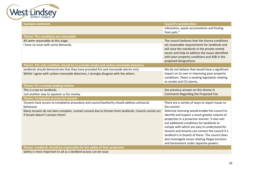

| <b>Example comments</b>                                                                                                                                                   | <b>Council's consideration</b>                                                                                                                                                                                                                                                                                                                                                                                                                          |
|---------------------------------------------------------------------------------------------------------------------------------------------------------------------------|---------------------------------------------------------------------------------------------------------------------------------------------------------------------------------------------------------------------------------------------------------------------------------------------------------------------------------------------------------------------------------------------------------------------------------------------------------|
|                                                                                                                                                                           | infestation, waste accumulation and fouling<br>from pets."                                                                                                                                                                                                                                                                                                                                                                                              |
| Theme: The conditions are reasonable                                                                                                                                      |                                                                                                                                                                                                                                                                                                                                                                                                                                                         |
| All seem reasonable at this stage.<br>I have no issue with some demands.                                                                                                  | The council believes that the licence conditions<br>set reasonable requirements for landlords and<br>will raise the standards in the private rented                                                                                                                                                                                                                                                                                                     |
|                                                                                                                                                                           | sector and help to address the issues identified<br>with poor property conditions and ASB in the<br>proposed designations.                                                                                                                                                                                                                                                                                                                              |
| Theme: The only condition should be to provide smoke and carbon monoxide detectors                                                                                        |                                                                                                                                                                                                                                                                                                                                                                                                                                                         |
| landlords should demonstrate that they have provided fire and monoxide alarms only<br>Whilst I agree with carbon monoxide detectors, I strongly disagree with the others. | We do not believe that would have a significant<br>impact on its own in improving poor property<br>conditions. There is existing legislation relating<br>to smoke and CO alarms.                                                                                                                                                                                                                                                                        |
| Theme: It's a money-making scheme                                                                                                                                         |                                                                                                                                                                                                                                                                                                                                                                                                                                                         |
| This is a tax on landlords.                                                                                                                                               | See previous answer on this theme in                                                                                                                                                                                                                                                                                                                                                                                                                    |
| Just another way to squeeze us for money                                                                                                                                  | <b>Comments Regarding the Proposed Fee</b>                                                                                                                                                                                                                                                                                                                                                                                                              |
|                                                                                                                                                                           |                                                                                                                                                                                                                                                                                                                                                                                                                                                         |
| <b>Theme: Complaints process for tenants</b>                                                                                                                              |                                                                                                                                                                                                                                                                                                                                                                                                                                                         |
| Tenants have access to complaints procedure and council/authority should address antisocial<br>behaviour.                                                                 | There are a variety of ways to report issues to<br>the council.                                                                                                                                                                                                                                                                                                                                                                                         |
| Many tenants do not dare complain, contact council due to threats from landlords. Council cannot act<br>if tenant doesn't contact them!                                   | Selective licensing would enable the council to<br>identify and inspect a much greater volume of<br>properties in a proactive manner. It also sets<br>out additional conditions for landlords to<br>comply with which are easy to understand for<br>tenants and tenants can contact the council if a<br>landlord is in breach of these. The council does<br>also investigate issues relating illegal evictions<br>and harassment under separate powers. |
| Theme: Landlords should be responsible for the safety of their properties<br>Safety is most important to all as a landlord access can be issue                            |                                                                                                                                                                                                                                                                                                                                                                                                                                                         |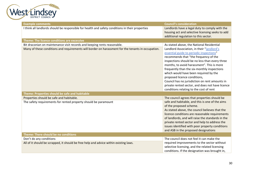

| <b>Example comments</b>                                                                                                                                                        | <b>Council's consideration</b>                                                                                                                                                                                                                                                                                                                                                                                                                         |
|--------------------------------------------------------------------------------------------------------------------------------------------------------------------------------|--------------------------------------------------------------------------------------------------------------------------------------------------------------------------------------------------------------------------------------------------------------------------------------------------------------------------------------------------------------------------------------------------------------------------------------------------------|
| I think all landlords should be responsible for health and safety conditions in their properties                                                                               | Landlords have a legal duty to comply with the<br>housing act and selective licensing seeks to add<br>additional regulation to this sector.                                                                                                                                                                                                                                                                                                            |
| Theme: The licence conditions are excessive                                                                                                                                    |                                                                                                                                                                                                                                                                                                                                                                                                                                                        |
| Bit draconian on maintenance visit records and keeping rents reasonable.<br>Many of these conditions and requirements will border on harassment for the tenants in occupation. | As stated above, the National Residential<br>Landlord Association, in their "landlord's<br>essential guide to periodic inspections"<br>recommends that "the frequency of the<br>inspections should be no less than every three<br>months, to avoid harassment". This is more<br>frequently than the six-monthly inspections<br>which would have been required by the<br>proposed licence conditions,<br>Council has no jurisdiction on rent amounts in |
|                                                                                                                                                                                | private rented sector, and does not have licence<br>conditions relating to the cost of rent                                                                                                                                                                                                                                                                                                                                                            |
| Theme: Properties should be safe and habitable                                                                                                                                 |                                                                                                                                                                                                                                                                                                                                                                                                                                                        |
| Properties should be safe and habitable.                                                                                                                                       | The council agrees that properties should be                                                                                                                                                                                                                                                                                                                                                                                                           |
| The safety requirements for rented property should be paramount                                                                                                                | safe and habitable, and this is one of the aims<br>of the proposed scheme.<br>As stated above, the council believes that the<br>licence conditions are reasonable requirements<br>of landlords, and will raise the standards in the<br>private rented sector and help to address the<br>issues identified with poor property conditions<br>and ASB in the proposed designations                                                                        |
| Theme: There should be no conditions                                                                                                                                           |                                                                                                                                                                                                                                                                                                                                                                                                                                                        |
| Don't do any conditions<br>All of it should be scrapped, it should be free help and advice within existing laws.                                                               | The council does not feel it can make the<br>required improvements to the sector without<br>selective licensing, and the related licensing<br>conditions. If the designation was brought in,                                                                                                                                                                                                                                                           |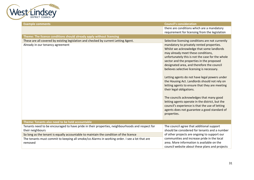

| <b>Example comments</b>                                                                                                 | <b>Council's consideration</b>                                                                                                                                                                                                                                                                                                                                                                                                                                                                                                                                                                                                                                                                                                                                                 |
|-------------------------------------------------------------------------------------------------------------------------|--------------------------------------------------------------------------------------------------------------------------------------------------------------------------------------------------------------------------------------------------------------------------------------------------------------------------------------------------------------------------------------------------------------------------------------------------------------------------------------------------------------------------------------------------------------------------------------------------------------------------------------------------------------------------------------------------------------------------------------------------------------------------------|
|                                                                                                                         | there are conditions which are a mandatory                                                                                                                                                                                                                                                                                                                                                                                                                                                                                                                                                                                                                                                                                                                                     |
|                                                                                                                         | requirement for licensing from the legislation                                                                                                                                                                                                                                                                                                                                                                                                                                                                                                                                                                                                                                                                                                                                 |
| Theme: The licence conditions should already apply without licensing                                                    |                                                                                                                                                                                                                                                                                                                                                                                                                                                                                                                                                                                                                                                                                                                                                                                |
| These are all covered by existing legislation and checked by current Letting Agent.<br>Already in our tenancy agreement | Selective licensing conditions are not currently<br>mandatory to privately rented properties.<br>Whilst we acknowledge that some landlords<br>may already meet these conditions,<br>unfortunately this is not the case for the whole<br>sector and the properties in the proposed<br>designated area, and therefore the council<br>believes selective licensing is necessary.<br>Letting agents do not have legal powers under<br>the Housing Act. Landlords should not rely on<br>letting agents to ensure that they are meeting<br>their legal obligations.<br>The councils acknowledges that many good<br>letting agents operate in the district, but the<br>council's experience is that the use of letting<br>agents does not guarantee a good standard of<br>properties. |
| Theme: Tenants also need to be held accountable                                                                         |                                                                                                                                                                                                                                                                                                                                                                                                                                                                                                                                                                                                                                                                                                                                                                                |
| Tenants need to be encouraged to have pride in their properties, neighbourhoods and respect for                         | The council agree that additional support                                                                                                                                                                                                                                                                                                                                                                                                                                                                                                                                                                                                                                                                                                                                      |
| their neighbours                                                                                                        | should be considered for tenants and a number                                                                                                                                                                                                                                                                                                                                                                                                                                                                                                                                                                                                                                                                                                                                  |
| So long as the tenant is equally accountable to maintain the condition of the licence                                   | of other projects are ongoing to support our                                                                                                                                                                                                                                                                                                                                                                                                                                                                                                                                                                                                                                                                                                                                   |
| The tenants must commit to keeping all smoke/co Alarms in working order. I see a lot that are<br>removed                | communities and increase pride in the local<br>area. More information is available on the<br>council website about these plans and projects                                                                                                                                                                                                                                                                                                                                                                                                                                                                                                                                                                                                                                    |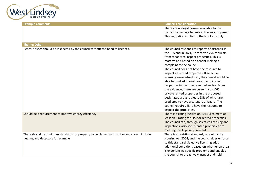

| <b>Example comments</b>                                                                                                             | <b>Council's consideration</b>                                                                                                                                                                                                                                                                                                                                                                                                                                                                                                                                                                                                                                                                                                         |
|-------------------------------------------------------------------------------------------------------------------------------------|----------------------------------------------------------------------------------------------------------------------------------------------------------------------------------------------------------------------------------------------------------------------------------------------------------------------------------------------------------------------------------------------------------------------------------------------------------------------------------------------------------------------------------------------------------------------------------------------------------------------------------------------------------------------------------------------------------------------------------------|
|                                                                                                                                     | There are no legal powers available to the<br>council to manage tenants in the way proposed.<br>This legislation applies to the landlords only.                                                                                                                                                                                                                                                                                                                                                                                                                                                                                                                                                                                        |
| <b>Theme: Other</b>                                                                                                                 |                                                                                                                                                                                                                                                                                                                                                                                                                                                                                                                                                                                                                                                                                                                                        |
| Rental houses should be inspected by the council without the need to licences.                                                      | The council responds to reports of disrepair in<br>the PRS and in 2021/22 received 276 requests<br>from tenants to inspect properties. This is<br>reactive and based on a tenant making a<br>complaint to the council.<br>The council does not have the resource to<br>inspect all rented properties. If selective<br>licensing were introduced, the council would be<br>able to fund additional resource to inspect<br>properties in the private rented sector. From<br>the evidence, there are currently c.4,060<br>private rented properties in the proposed<br>designated areas, at least 23% of which are<br>predicted to have a category 1 hazard. The<br>council requires SL to have the resource to<br>inspect the properties. |
| Should be a requirement to improve energy efficiency                                                                                | There is existing legislation (MEES) to meet at<br>least an E rating for EPC for rented properties.<br>The council can, through selective licensing and<br>inspections, also see if rented properties are<br>meeting this legal requirement.                                                                                                                                                                                                                                                                                                                                                                                                                                                                                           |
| There should be minimum standards for property to be classed as fit to live and should include<br>heating and detectors for example | There is an existing standard, set out by the<br>Housing Act 2004, and the council does enforce<br>to this standard. Selective licensing adds<br>additional conditions based on whether an area<br>is experiencing specific problems and enables<br>the council to proactively inspect and hold                                                                                                                                                                                                                                                                                                                                                                                                                                        |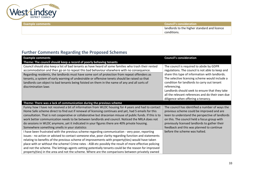

| Example comments | <b>Council's consideration</b>                 |
|------------------|------------------------------------------------|
|                  | I landlords to the higher standard and licence |
|                  | conditions.                                    |

# <span id="page-32-0"></span>**Further Comments Regarding the Proposed Schemes**

| <b>Example comments</b>                                                                                                                                                                                                                                                                                                                                                                                                                                                                                                                                                                                                           | <b>Council's consideration</b>                                                                                                                                                                                                                                                                                                                                                                              |
|-----------------------------------------------------------------------------------------------------------------------------------------------------------------------------------------------------------------------------------------------------------------------------------------------------------------------------------------------------------------------------------------------------------------------------------------------------------------------------------------------------------------------------------------------------------------------------------------------------------------------------------|-------------------------------------------------------------------------------------------------------------------------------------------------------------------------------------------------------------------------------------------------------------------------------------------------------------------------------------------------------------------------------------------------------------|
| Theme: The council should keep a record of poorly behaving tenants                                                                                                                                                                                                                                                                                                                                                                                                                                                                                                                                                                |                                                                                                                                                                                                                                                                                                                                                                                                             |
| Council should also keep a list of bad tenants as have heard of some families who trash their rented<br>accommodation and then go on to repeat this bad behaviour elsewhere with no consequence.<br>Regarding residents, the landlords must have some sort of protection from repeat offenders as<br>tenants, a system of early warning of undesirable or offensive tenets should be raised so that<br>landlords can object to bad tenants being foisted on them in the name of any and all sorts of<br>discrimination laws                                                                                                       | The council is required to abide by GDPR<br>regulations. The council is not able to keep and<br>share this type of information with landlords.<br>The selective licensing scheme would include a<br>condition for landlords to carry out tenant<br>referencing.<br>Landlords should seek to ensure that they take<br>all the relevant references and do their own due<br>diligence when offering a tenancy. |
| Theme: There was a lack of communication during the previous scheme                                                                                                                                                                                                                                                                                                                                                                                                                                                                                                                                                               |                                                                                                                                                                                                                                                                                                                                                                                                             |
| Funny how I have not received a bit of information from WLDC housing for 4 years and had to contact<br>Home Safe scheme direct to find out if renewal of licensing continues and yet, had 5 emails for this<br>consultation. That is not cooperative or collaborative but draconian misuse of public funds. If this is to<br>work better communication needs to be between landlords and council. Noticed the NRLA does not<br>do sessions in WLDC anymore, yet it indicated in your figures there are 40% private housing.<br>Somewhere something smells in your statistics                                                      | The council has identified a number of ways the<br>previous scheme could be improved and are<br>keen to understand the perspective of landlords<br>on this. The council held a focus group with<br>previously licensed landlords to gather their<br>feedback and this was planned to continue<br>before the scheme was halted.                                                                              |
| I have been frustrated with the previous scheme regarding communication - very poor, reporting<br>issues - no action or advised to contact someone else, poor clarity regarding function and statements<br>relating to benefits of the previous scheme of improvements with property(ties) would have taken<br>place with or without the scheme! Crime rates - ASB etc possibly the result of more effective policing<br>and not the scheme. The lettings agents vetting potentially tenants could be the reason for improved<br>property(ties) in the area and not the scheme. Where are the comparisons between privately owned |                                                                                                                                                                                                                                                                                                                                                                                                             |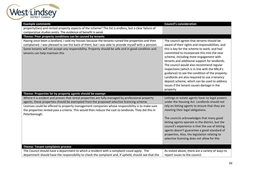

| <b>Example comments</b>                                                                                                                                                                                                                                                                                                                                                                                                    | <b>Council's consideration</b>                                                                                                                                                                                                                                                                                                                                                                                                                                                                                                                                                                |
|----------------------------------------------------------------------------------------------------------------------------------------------------------------------------------------------------------------------------------------------------------------------------------------------------------------------------------------------------------------------------------------------------------------------------|-----------------------------------------------------------------------------------------------------------------------------------------------------------------------------------------------------------------------------------------------------------------------------------------------------------------------------------------------------------------------------------------------------------------------------------------------------------------------------------------------------------------------------------------------------------------------------------------------|
| property(ties) and rented property aspects of the scheme? The list is endless, but a clear failure of                                                                                                                                                                                                                                                                                                                      |                                                                                                                                                                                                                                                                                                                                                                                                                                                                                                                                                                                               |
| comparative studies exists. The evidence of benefit is weak                                                                                                                                                                                                                                                                                                                                                                |                                                                                                                                                                                                                                                                                                                                                                                                                                                                                                                                                                                               |
| Theme: Poor property conditions can be caused by tenants                                                                                                                                                                                                                                                                                                                                                                   |                                                                                                                                                                                                                                                                                                                                                                                                                                                                                                                                                                                               |
| Having once been a landlord, I sold my houses because the tenants ruined the properties and then<br>complained. I was pleased to see the back of them, but I was able to provide myself with a pension.<br>Some tenants will not accept any responsibility. Property should be safe and in good condition and<br>tenants can help maintain this                                                                            | The council agrees that tenants should be<br>aware of their rights and responsibilities, and<br>this is key for the scheme to work, and had<br>committed to incorporate this into the new<br>scheme, including more engagement with<br>tenants and additional support for landlords.<br>The council would also recommend regular<br>inspections (which is in line with the NRLA's<br>guidance) to see the condition of the property.<br>Landlords are also required to use a tenancy<br>deposit scheme, which can be used to address<br>issues if the tenant causes damage in the<br>property |
| Theme: Properties let by property agents should be exempt                                                                                                                                                                                                                                                                                                                                                                  |                                                                                                                                                                                                                                                                                                                                                                                                                                                                                                                                                                                               |
| Where it is evident and proven that rental properties are fully managed by professional property<br>agents, these properties should be exempted from the proposed selective licencing scheme.<br>Licenses could be offered to property management companies whose responsibility is to make sure<br>the properties rented pass a criteria. This would then reduce the cost to landlords. They did this in<br>Peterborough. | Lettings or estate agents have no legal powers<br>under the Housing Act. Landlords should not<br>rely on letting agents to ensure that they are<br>meeting their legal obligations.<br>The councils acknowledges that many good<br>letting agents operate in the district, but the<br>council's experience is that the use of letting<br>agents doesn't guarantee a good standard of<br>properties. Also, the legislation relating to<br>selective licensing does not allow for this                                                                                                          |
| <b>Theme: Tenant complaints process</b>                                                                                                                                                                                                                                                                                                                                                                                    |                                                                                                                                                                                                                                                                                                                                                                                                                                                                                                                                                                                               |
| The Council should have a department to which a resident with a complaint could apply. The<br>department should have the responsibility to check the complaint and, if upheld, should see that the                                                                                                                                                                                                                         | As stated above, there are a variety of ways to<br>report issues to the council.                                                                                                                                                                                                                                                                                                                                                                                                                                                                                                              |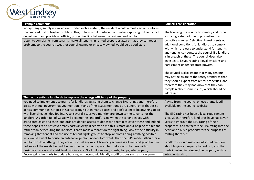

| <b>Example comments</b>                                                                                                                                                                                           | <b>Council's consideration</b>                                                                |
|-------------------------------------------------------------------------------------------------------------------------------------------------------------------------------------------------------------------|-----------------------------------------------------------------------------------------------|
| work/change, supply is carried out. Under such a system, the resident would almost certainly inform                                                                                                               |                                                                                               |
| the landlord first of his/her problem. This, in turn, would reduce the numbers applying to the council                                                                                                            | The licensing the council to identify and inspect                                             |
| department and provide an official, protective, link between the resident and landlord.                                                                                                                           | a much greater volume of properties in a                                                      |
| Listen to complaints from tenants, make all tenants in rented properties aware that they can report                                                                                                               | proactive manner. Selective Licensing sets out                                                |
| problems to the council, weather council owned or privately owned would be a good start                                                                                                                           | additional conditions for landlords to comply                                                 |
|                                                                                                                                                                                                                   | with which are easy to understand for tenants                                                 |
|                                                                                                                                                                                                                   | and tenants can contact the council if a landlord                                             |
|                                                                                                                                                                                                                   | is in breach of these. The council does also                                                  |
|                                                                                                                                                                                                                   | investigate issues relating illegal evictions and                                             |
|                                                                                                                                                                                                                   | harassment under separate powers.                                                             |
|                                                                                                                                                                                                                   |                                                                                               |
|                                                                                                                                                                                                                   | The council is also aware that many tenants                                                   |
|                                                                                                                                                                                                                   | may not be aware of the safety standards that                                                 |
|                                                                                                                                                                                                                   | they should expect from rental properties, and                                                |
|                                                                                                                                                                                                                   | therefore they may not know that they can                                                     |
|                                                                                                                                                                                                                   | complain about some issues, which should be<br>addressed.                                     |
| Theme: Incentivise landlords to improve the energy efficiency of the property                                                                                                                                     |                                                                                               |
| you need to implement eco grants for landlords assisting them to change EPC ratings and therefore                                                                                                                 | Advise from the council on eco grants is still                                                |
| assist with fuel poverty that you mention. Many of the issues mentioned are general ones that exist                                                                                                               | available on the council website.                                                             |
| across communities not just in Gainsborough but in many places and don't seem to be anything to do                                                                                                                |                                                                                               |
| with licencing, i.e., dog fouling. Also, several issues you mention are down to the tenants not the                                                                                                               | The EPC rating has been a legal requirement                                                   |
|                                                                                                                                                                                                                   | since 2015, therefore landlords have had seven                                                |
| landlord. A garden full of waste will become the landlord's issue when the tenant leaves with<br>associated costs and then landlords are denied access to deposits to retain to cover these and indeed            |                                                                                               |
|                                                                                                                                                                                                                   | years to improve the EPC rating of their<br>properties, and to factor the EPC rating into the |
| these deposits do not cover many costs anyway. It seems to me this is more about helping the tenant                                                                                                               |                                                                                               |
| rather than persecuting the landlord, I can't make a tenant do the right thing, look at the difficulty in<br>removing that tenant and the rise of tenant rights groups to stop landlords doing anything positive. | decision to buy a property for the purposes of<br>renting them out.                           |
| why would I want to house an anti-social person, no landlord wants that, then it's made difficult for a                                                                                                           |                                                                                               |
| landlord to do anything if they are anti-social anyway. A licencing scheme is all well and good but I'm                                                                                                           | Landlords should make an informed decision                                                    |
| not sure of the reality behind it unless the council is prepared to fund social initiatives within                                                                                                                | about buying a property to rent out, and the                                                  |
| designated areas and assist landlords (we aren't all millionaires), grants, to upgrade property.                                                                                                                  | costs involved in bringing the property up to a                                               |
| Encouraging landlords to update housing with economic friendly modifications such as solar panels.                                                                                                                | let-able standard.                                                                            |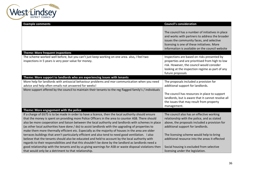

| <b>Example comments</b>                                                                                                                                                                                                                                                                                                                                                                                                                                                                                                         | <b>Council's consideration</b>                                                                                                                                                                                                                    |
|---------------------------------------------------------------------------------------------------------------------------------------------------------------------------------------------------------------------------------------------------------------------------------------------------------------------------------------------------------------------------------------------------------------------------------------------------------------------------------------------------------------------------------|---------------------------------------------------------------------------------------------------------------------------------------------------------------------------------------------------------------------------------------------------|
|                                                                                                                                                                                                                                                                                                                                                                                                                                                                                                                                 | The council has a number of initiatives in place<br>and works with partners to address the broader<br>issues the community faces, and selective<br>licensing is one of these initiatives. More<br>information is available on the council website |
| <b>Theme: More frequent inspections</b>                                                                                                                                                                                                                                                                                                                                                                                                                                                                                         |                                                                                                                                                                                                                                                   |
| The scheme worked well before, but you can't just keep working on one area. also, I feel two<br>inspections in 5 years is very poor value for money.                                                                                                                                                                                                                                                                                                                                                                            | Inspections are based on risks presented by<br>properties and are prioritised from high to low<br>risk. However, the council would consider<br>looking at the inspection regime as part of any<br>future proposals                                |
| Theme: More support to landlords who are experiencing issues with tenants                                                                                                                                                                                                                                                                                                                                                                                                                                                       |                                                                                                                                                                                                                                                   |
| More help for landlords with antisocial behaviour problems and mor communication when you need<br>advice and help often emails not answered for weeks!<br>More support offered by the council to maintain their tenants to the reg flagged family's / individuals                                                                                                                                                                                                                                                               | The proposals included a provision for<br>additional support for landlords.<br>The council has resources in place to support<br>landlords, but is aware that it cannot resolve all                                                                |
|                                                                                                                                                                                                                                                                                                                                                                                                                                                                                                                                 | the issues that may result from property<br>management.                                                                                                                                                                                           |
| Theme: More engagement with the police                                                                                                                                                                                                                                                                                                                                                                                                                                                                                          |                                                                                                                                                                                                                                                   |
| If a charge of £675 is to be made in order to have a licence, then the local authority should ensure<br>that the money is spent on providing more Police Officers in the area to counter ASB. There should<br>also be more cooperation and liaison between the local authority and landlords with schemes in place<br>(as other local authorities have done / do) to assist landlords with the upgrading of properties to<br>make them more thermally efficient etc. Especially as the majority of houses in the area are older | The council also has an effective working<br>relationship with the police, and as stated<br>above, the proposals included a provision for<br>additional support for landlords.                                                                    |
| terraces buildings that aren't particularly efficient and also tend to need good ventilation. I also<br>believe that the tenants should also be educated and held to account by the local authority with<br>regards to their responsibilities and that this shouldn't be done by the landlord as landlords need a                                                                                                                                                                                                               | The licensing scheme would help to bring<br>additional resource into the areas it effected                                                                                                                                                        |
| good relationship with the tenants and by us giving warnings for ASB or waste disposal violations then<br>that would only be a detriment to that relationship.                                                                                                                                                                                                                                                                                                                                                                  | Social housing is excluded from selective<br>licensing under the legislation.                                                                                                                                                                     |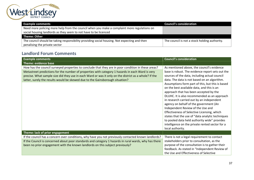

| <b>Example comments</b>                                                                      | <b>Council's consideration</b>                |
|----------------------------------------------------------------------------------------------|-----------------------------------------------|
| Need more policing more help from the council when you make a complaint more regulations on  |                                               |
| social housing landlords as they seem to not have to be licenced                             |                                               |
| Theme: Other                                                                                 |                                               |
| The council should be taking responsibility providing social housing. Not expecting and then | The council is not a stock holding authority. |
| penalising the private sector                                                                |                                               |

### <span id="page-36-0"></span>**Landlord Forum Comments**

| <b>Example comments</b>                                                                                                                                                                                                                                                                                                                                                                           | <b>Council's consideration</b>                                                                                                                                                                                                                                                                                                                                                                                                                                                                                                                                                                                                                                                                                                                    |
|---------------------------------------------------------------------------------------------------------------------------------------------------------------------------------------------------------------------------------------------------------------------------------------------------------------------------------------------------------------------------------------------------|---------------------------------------------------------------------------------------------------------------------------------------------------------------------------------------------------------------------------------------------------------------------------------------------------------------------------------------------------------------------------------------------------------------------------------------------------------------------------------------------------------------------------------------------------------------------------------------------------------------------------------------------------------------------------------------------------------------------------------------------------|
| Theme: evidence base                                                                                                                                                                                                                                                                                                                                                                              |                                                                                                                                                                                                                                                                                                                                                                                                                                                                                                                                                                                                                                                                                                                                                   |
| How has the council surveyed properties to conclude that they are in poor condition in these areas?<br>Metastreet predictions for the number of properties with category 1 hazards in each Ward is very<br>precise. What sample size did they use in each Ward or was it only on the district as a whole? If the<br>latter, surely the results would be skewed due to the Gainsborough situation? | As mentioned above, the council's evidence<br>base is robust. The evidence report sets out the<br>sources of the data, including actual council<br>data. The data is not based on an algorithm.<br>Assumptions form part of this, but this is based<br>on the best available data, and this is an<br>approach that has been accepted by the<br>DLUHC. It is also recommended as an approach<br>in research carried out by an independent<br>agency on behalf of the government (An<br>Independent Review of the Use and<br>Effectiveness of Selective Licensing, which<br>states that the use of "data analytic techniques<br>to pooled data held authority wide" provides<br>intelligence on the private rented sector for a<br>local authority. |
| Theme: lack of prior engagement                                                                                                                                                                                                                                                                                                                                                                   |                                                                                                                                                                                                                                                                                                                                                                                                                                                                                                                                                                                                                                                                                                                                                   |
| If the council has a concern over conditions, why have you not previously contacted known landlords?<br>If the Council is concerned about poor standards and category 1 hazards in rural wards, why has there<br>been no prior engagement with the known landlords on this subject previously?                                                                                                    | There is not a legal requirement to contact<br>stakeholders prior to consultation, as the<br>purpose of the consultation is to gather their<br>feedback. As stated in "Independent Review of<br>the Use and Effectiveness of Selective                                                                                                                                                                                                                                                                                                                                                                                                                                                                                                            |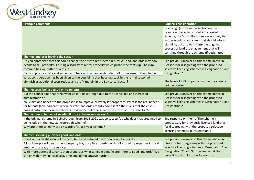

| <b>Example comments</b>                                                                                                                                                 | <b>Council's consideration</b>                                                         |
|-------------------------------------------------------------------------------------------------------------------------------------------------------------------------|----------------------------------------------------------------------------------------|
|                                                                                                                                                                         | Licensing" (2019), in the section on the                                               |
|                                                                                                                                                                         | <b>Common Characteristics of a Successful</b>                                          |
|                                                                                                                                                                         | Scheme, the "consultation serves not only to                                           |
|                                                                                                                                                                         | gather opinions and views that should inform                                           |
|                                                                                                                                                                         | planning, but also to initiate the ongoing                                             |
|                                                                                                                                                                         | process of landlord engagement that will                                               |
|                                                                                                                                                                         | continue through the scheme (if designated.                                            |
| Theme: landlords leaving the sector                                                                                                                                     |                                                                                        |
| Do you appreciate that this could change the private rent sector in rural WL and landlords may now                                                                      | See previous answer on this theme above in                                             |
| decide to sell property? Causing a scarcity of rental property which pushes the rents up. The rural                                                                     | Reasons for disagreeing with the proposed                                              |
| communities will suffer as a result.                                                                                                                                    | selective licensing schemes in Designation 1 and                                       |
| Can you produce data and evidence to back up that landlords didn't sell up because of the scheme.                                                                       | Designation 2.                                                                         |
| What consideration has been given to the possibility that housing stock in the rental sector will                                                                       |                                                                                        |
| diminish as additional costs reduce any profit margin in the Buy to Let sector?                                                                                         | The level of PRS properties within the areas is                                        |
|                                                                                                                                                                         | not decreasing.                                                                        |
| Theme: costs being passed on to tenants                                                                                                                                 |                                                                                        |
|                                                                                                                                                                         |                                                                                        |
| Did the council find that rents went up in Gainsborough due to the licence fee and increased                                                                            | See previous answer on this theme above in                                             |
| administration?                                                                                                                                                         | Reasons for disagreeing with the proposed                                              |
| You claim one benefit to the proposals is to improve privately let properties. What is the real benefit                                                                 | selective licensing schemes in Designation 1 and                                       |
| for tenants (and landlords) where private landlords are fully compliant? The risk is that the cost is                                                                   | Designation 2                                                                          |
| passed onto tenants where there is no issue. Should the scheme be more robustly 'selective'?                                                                            |                                                                                        |
| Theme: new scheme not needed if prior scheme was successful                                                                                                             |                                                                                        |
| If the original scheme in Gainsborough from 2016-2021 was so successful, why does that area need to                                                                     | See response on theme 'The scheme is                                                   |
| be included in the new Gainsborough scheme?                                                                                                                             | unnecessary for previously licensed landlords'                                         |
| Why are there so many cat 1 hazards after a 5-year scheme?                                                                                                              | for disagreeing with the proposed selective                                            |
|                                                                                                                                                                         | licensing schemes in Designation 1                                                     |
| Theme: Licensing punishes good landlords                                                                                                                                |                                                                                        |
| Good landlords still incur all the cost, time and extra admin for no benefit in reality                                                                                 | See previous answer on this theme above in                                             |
| A lot of people will see this as a property tax, this places burden on landlords with properties in rural                                                               | 'Reasons for disagreeing with the proposed                                             |
| areas with already little services                                                                                                                                      | selective licensing schemes in Designation 1 and                                       |
| With more potential tenants than properties what tangible benefits are there to good landlords? We<br>can only identify financial cost, time and administrative burden. | Designation 2', and 'It is unclear what the<br>benefit is to landlords' in Reasons for |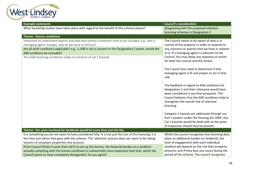

| <b>Example comments</b>                                                                                                                                                                                                                                                                                                                                                 | <b>Council's consideration</b>                                                                                                                                                                                                                                                                                                                                                                                                                                                                                                                                                                                                                                                                                                                                                                                                                                |
|-------------------------------------------------------------------------------------------------------------------------------------------------------------------------------------------------------------------------------------------------------------------------------------------------------------------------------------------------------------------------|---------------------------------------------------------------------------------------------------------------------------------------------------------------------------------------------------------------------------------------------------------------------------------------------------------------------------------------------------------------------------------------------------------------------------------------------------------------------------------------------------------------------------------------------------------------------------------------------------------------------------------------------------------------------------------------------------------------------------------------------------------------------------------------------------------------------------------------------------------------|
| What feasibility studies have taken place with regard to the benefit of this scheme please?                                                                                                                                                                                                                                                                             | disagreeing with the proposed selective<br>licensing schemes in Designation 2                                                                                                                                                                                                                                                                                                                                                                                                                                                                                                                                                                                                                                                                                                                                                                                 |
| <b>Theme: licence conditions</b>                                                                                                                                                                                                                                                                                                                                        |                                                                                                                                                                                                                                                                                                                                                                                                                                                                                                                                                                                                                                                                                                                                                                                                                                                               |
| Interested to understand reports and date why certain conditions have to be included, e.g., why a<br>managing agent changes, why do we have to tell you?<br>Are all draft conditions applicable? e.g., is ASB is not a concern in the Designation 2 wards, would the<br>ASB conditions be excluded?<br>The draft licensing conditions make no mention of cat 1 hazards. | The Council needs to be aware of who is in<br>control of the property in order to respond to<br>any concerns or queries that we have in relation<br>to it. If a managing agent is unknown to the<br>Council, this may delay any response or action<br>for both the Council and the tenant.<br>The Council also need to determine if that<br>managing agent is fit and proper to act in that<br>role.<br>The feedback in regard to ASB conditions for<br>designation 2 and their relevance would have<br>been considered in any final proposals. The<br>Council believes that the ASB conditions help to<br>strengthen the overall role of selective<br>licensing.<br>Category 1 hazards are addressed through our<br>Part 1 powers under the Housing Act 2004. Any<br>Cat 1 hazards would be dealt with at the point<br>of inspection should they be present. |
| Theme: the costs involved for landlords would be more than just the fee                                                                                                                                                                                                                                                                                                 |                                                                                                                                                                                                                                                                                                                                                                                                                                                                                                                                                                                                                                                                                                                                                                                                                                                               |
| It is something you do not seem to have considered fully. It is not just the cost of the licensing; it is<br>the time and admin that goes with the scheme. The 'selective' process does not seem to be taking<br>tenants of compliant properties into account.                                                                                                          | Whilst the council recognises that licensing does<br>place an additional burden on landlords, the<br>level of engagement with each individual                                                                                                                                                                                                                                                                                                                                                                                                                                                                                                                                                                                                                                                                                                                 |
| If the Council thinks it costs them £675 to set up the licence, the financial burden on a landlord<br>actually complying with the license conditions is substantially more expensive than that, which the<br>Council seems to have completely disregarded. Do you agree?                                                                                                | landlord will depend on the risk their property<br>presents, and if they face any issues during the<br>period of the scheme. The council recognises                                                                                                                                                                                                                                                                                                                                                                                                                                                                                                                                                                                                                                                                                                           |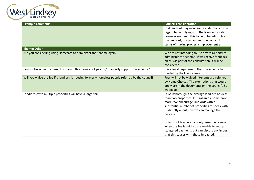

| <b>Example comments</b>                                                                           | <b>Council's consideration</b>                                                                                                                                                                                                                   |
|---------------------------------------------------------------------------------------------------|--------------------------------------------------------------------------------------------------------------------------------------------------------------------------------------------------------------------------------------------------|
|                                                                                                   | that landlord may incur some additional cost in                                                                                                                                                                                                  |
|                                                                                                   | regard to complying with the licence conditions,                                                                                                                                                                                                 |
|                                                                                                   | however we deem this to be of benefit to both                                                                                                                                                                                                    |
|                                                                                                   | the landlord, the tenant and the council in                                                                                                                                                                                                      |
|                                                                                                   | terms of making property improvement s                                                                                                                                                                                                           |
| Theme: Other.                                                                                     |                                                                                                                                                                                                                                                  |
| Are you considering using Homesafe to administer the scheme again?                                | We are not intending to use any third party to<br>administer the scheme. If we receive feedback<br>on this as part of the consultation, it will be<br>considered.                                                                                |
| Council tax is paid by tenants - should this money not pay for/financially support the scheme?    | It is a legal requirement that the scheme be<br>funded by the licence fees.                                                                                                                                                                      |
| Will you waive the fee if a landlord is housing formerly homeless people referred by the council? | Fees will not be waived if tenants are referred<br>by Home Choices. The exemptions that would<br>apply are in the documents on the council's SL<br>webpage.                                                                                      |
| Landlords with multiple properties will have a larger bill                                        | In Gainsborough, the average landlord has less<br>than two properties. In rural areas, some have<br>more. We encourage landlords with a<br>substantial number of properties to speak with<br>us directly about how we can manage the<br>process. |
|                                                                                                   | In terms of fees, we can only issue the licence<br>when the fee is paid, so are unable to set up<br>staggered payments but can discuss any issues<br>that this causes with those impacted.                                                       |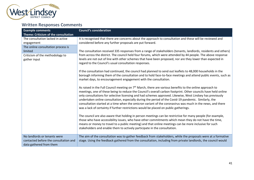

# **Written Responses Comments**

| <b>Example comments</b>               | <b>Council's consideration</b>                                                                                                                                                                                      |
|---------------------------------------|---------------------------------------------------------------------------------------------------------------------------------------------------------------------------------------------------------------------|
| Theme: Criticism of the consultation  |                                                                                                                                                                                                                     |
| The consultation lacked in active     | It is recognised that there are concerns about the approach to consultation and these will be reviewed and                                                                                                          |
| engagement                            | considered before any further proposals are put forward.                                                                                                                                                            |
| The online consultation process is    |                                                                                                                                                                                                                     |
| limited                               | The consultation received 335 responses from a range of stakeholders (tenants, landlords, residents and others)                                                                                                     |
| Criticism of the methodology to       | from across the district. The council held four forums, which were attended by 44 people. The above response                                                                                                        |
| gather input                          | levels are not out of line with other schemes that have been proposed, nor are they lower than expected in                                                                                                          |
|                                       | regard to the Council's usual consultation responses.                                                                                                                                                               |
|                                       | If the consultation had continued, the council had planned to send out leaflets to 48,000 households in the                                                                                                         |
|                                       | borough informing them of the consultation and to hold face-to-face meetings and attend public events, such as                                                                                                      |
|                                       | market days, to encouragement engagement with the consultation.                                                                                                                                                     |
|                                       |                                                                                                                                                                                                                     |
|                                       | As raised in the Full Council meeting on 7 <sup>th</sup> March, there are various benefits to the online approach to                                                                                                |
|                                       | meetings, one of these being to reduce the Council's overall carbon footprint. Other councils have held online                                                                                                      |
|                                       | only consultations for selective licensing and had schemes approved. Likewise, West Lindsey has previously<br>undertaken online consultation, especially during the period of the Covid-19 pandemic. Similarly, the |
|                                       | consultation started at a time when the omicron variant of the coronavirus was much in the news, and there                                                                                                          |
|                                       | was a lack of certainty if further restrictions would be placed on public gatherings.                                                                                                                               |
|                                       |                                                                                                                                                                                                                     |
|                                       | The council are also aware that holding in person meetings can be restrictive for many people (for example,                                                                                                         |
|                                       | those who have accessibility issues, who have other commitments which mean they do not have the time,                                                                                                               |
|                                       | means or money to travel to a public meeting) and that online meetings can be more inclusive for such                                                                                                               |
|                                       | stakeholders and enable them to actively participate in the consultation.                                                                                                                                           |
|                                       |                                                                                                                                                                                                                     |
| No landlords or tenants were          | The aim of the consultation was to gather feedback from stakeholders, while the proposals were at a formative                                                                                                       |
| contacted before the consultation and | stage. Using the feedback gathered from the consultation, including from private landlords, the council would                                                                                                       |
| data gathered from them               |                                                                                                                                                                                                                     |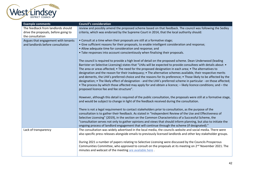

| <b>Example comments</b>              | <b>Council's consideration</b>                                                                                                                                                                                                                                                                                                                                                                                                                                                                                                                                                                                                                                                                                                                                                                                                                                        |
|--------------------------------------|-----------------------------------------------------------------------------------------------------------------------------------------------------------------------------------------------------------------------------------------------------------------------------------------------------------------------------------------------------------------------------------------------------------------------------------------------------------------------------------------------------------------------------------------------------------------------------------------------------------------------------------------------------------------------------------------------------------------------------------------------------------------------------------------------------------------------------------------------------------------------|
| The feedback from landlords should   | review and possibly amend the proposed scheme based on that feedback. The council was following the Sedley                                                                                                                                                                                                                                                                                                                                                                                                                                                                                                                                                                                                                                                                                                                                                            |
| drive the proposals, before going to | criteria, which was endorsed by the Supreme Court in 2014, that the local authority should:                                                                                                                                                                                                                                                                                                                                                                                                                                                                                                                                                                                                                                                                                                                                                                           |
| the consultation                     |                                                                                                                                                                                                                                                                                                                                                                                                                                                                                                                                                                                                                                                                                                                                                                                                                                                                       |
| Argues that engagement with tenants  | • Consult at a time when their proposals are still at a formative stage;                                                                                                                                                                                                                                                                                                                                                                                                                                                                                                                                                                                                                                                                                                                                                                                              |
| and landlords before consultation    | • Give sufficient reasons for their proposals, to enable intelligent consideration and response;                                                                                                                                                                                                                                                                                                                                                                                                                                                                                                                                                                                                                                                                                                                                                                      |
|                                      | • Allow adequate time for consideration and response; and<br>• Take responses into account conscientiously when finalising their proposals.                                                                                                                                                                                                                                                                                                                                                                                                                                                                                                                                                                                                                                                                                                                           |
|                                      |                                                                                                                                                                                                                                                                                                                                                                                                                                                                                                                                                                                                                                                                                                                                                                                                                                                                       |
|                                      | The council is required to provide a high level of detail on the proposed scheme. Dean Underwood (leading<br>Barrister on Selective Licensing) states that "LHAs will be expected to provide consultees with details about: •<br>The area or areas affected; • The need for the proposed designation in each area; • The alternatives to<br>designation and the reason for their inadequacy; • The alternative schemes available, their respective merits<br>and demerits, the LHA's preferred choice and the reasons for its preference; • Those likely to be affected by the<br>designation; • The likely effect of designation - and the LHA's preferred scheme in particular - on those affected;<br>• The process by which those affected may apply for and obtain a licence; - likely licence conditions; and - the<br>proposed licence fee and fee structure". |
|                                      | However, although this detail is required of the public consultation, the proposals were still at a formative stage,<br>and would be subject to change in light of the feedback received during the consultation.                                                                                                                                                                                                                                                                                                                                                                                                                                                                                                                                                                                                                                                     |
|                                      | There is not a legal requirement to contact stakeholders prior to consultation, as the purpose of the<br>consultation is to gather their feedback. As stated in "Independent Review of the Use and Effectiveness of<br>Selective Licensing" (2019), in the section on the Common Characteristics of a Successful Scheme, the<br>"consultation serves not only to gather opinions and views that should inform planning, but also to initiate the<br>ongoing process of landlord engagement that will continue through the scheme (if designated)."                                                                                                                                                                                                                                                                                                                    |
| Lack of transparency                 | The consultation was widely advertised in the local media, the councils website and social media. There were<br>also specific press releases alongside emails to previously licensed landlords and other key stakeholder groups.                                                                                                                                                                                                                                                                                                                                                                                                                                                                                                                                                                                                                                      |
|                                      | During 2021 a number of papers relating to Selective Licensing were discussed by the Councils Prosperous<br>Communities Committee, who approved to consult on the proposals at its meeting on 2 <sup>nd</sup> November 2021. The<br>minutes and webcast of the meeting are available here.                                                                                                                                                                                                                                                                                                                                                                                                                                                                                                                                                                            |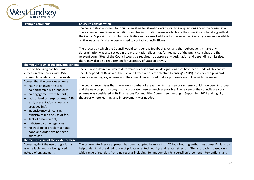

| <b>Example comments</b>                   | <b>Council's consideration</b>                                                                                     |
|-------------------------------------------|--------------------------------------------------------------------------------------------------------------------|
|                                           | The consultation also held four public meeting for stakeholders to join to ask questions about the consultation.   |
|                                           | The evidence base, licence conditions and fee information were available via the council website, along with all   |
|                                           | the Council's previous consultation activities and an email address for the selective licensing team was available |
|                                           | on the website if stakeholders wished to contact council officers.                                                 |
|                                           | The process by which the Council would consider the feedback given and then subsequently make any                  |
|                                           | determination was also set out in the presentation slides that formed part of the public consultation. The         |
|                                           | relevant committee of the Council would be required to approve any designation and depending on its size,          |
|                                           | there may also be a requirement for Secretary of State approval.                                                   |
| Theme: Criticism of the previous scheme   |                                                                                                                    |
| Selective licensing has had limited       | There is not a definitive way to determine success across all designations that have been made of this nature.     |
| success in other areas with ASB,          | The "Independent Review of the Use and Effectiveness of Selective Licensing" (2019), consider the pros and         |
| community safety and crime levels         | cons of delivering any scheme and the council has ensured that its proposals are in line with this review.         |
| Argued that the previous scheme:          |                                                                                                                    |
| • has not changed the area                | The council recognises that there are a number of areas in which its previous scheme could have been improved      |
| no partnership with landlords,            | and the new proposals sought to incorporate these as much as possible. The review of the councils previous         |
| no engagement with tenants,<br>$\bullet$  | scheme was considered at its Prosperous Communities Committee meeting in September 2021 and highlight              |
| lack of landlord support (esp. ASB,       | the areas where learning and improvement was needed.                                                               |
| early presentation of waste and           |                                                                                                                    |
| drug dealing),                            |                                                                                                                    |
| inconsistency of licensing,               |                                                                                                                    |
| criticism of fee and use of fee,          |                                                                                                                    |
| lack of enforcement,<br>$\bullet$         |                                                                                                                    |
| criticism by other agencies,              |                                                                                                                    |
| no tracking of problem tenants            |                                                                                                                    |
| poor landlords have not been<br>$\bullet$ |                                                                                                                    |
| addressed                                 |                                                                                                                    |
| Theme: Criticism of the evidence base     |                                                                                                                    |
| Argues against the use of algorithms      | The tenure intelligence approach has been adopted by more than 20 local housing authorities across England to      |
| as unreliable and are being used          | help understand the distribution of privately rented housing and related stressors. The approach is based on a     |
| instead of engagement                     | wide range of real data frontline records including, tenant complaints, council enforcement interventions, anti-   |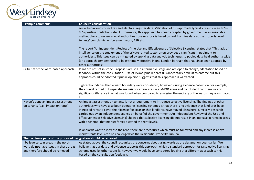

| <b>Example comments</b>                                                 | <b>Council's consideration</b>                                                                                                                                                                                                                                                                                                                                                                                                                                                                                                                                                                                                                |
|-------------------------------------------------------------------------|-----------------------------------------------------------------------------------------------------------------------------------------------------------------------------------------------------------------------------------------------------------------------------------------------------------------------------------------------------------------------------------------------------------------------------------------------------------------------------------------------------------------------------------------------------------------------------------------------------------------------------------------------|
|                                                                         | social behaviour, council tax and electoral register data. Validation of this approach typically results in an 80%-<br>90% positive prediction rate. Furthermore, this approach has been accepted by government as a reasonable<br>methodology to review a local authorities housing stock is based on real frontline data at the property level;<br>tenants' complaints, enforcement work, ASB etc.<br>The report 'An Independent Review of the Use and Effectiveness of Selective Licensing' states that "This lack of                                                                                                                      |
|                                                                         | intelligence on the true extent of the private rented sector often provides a significant impediment to<br>authorities This issue can be mitigated by applying data analytic techniques to pooled data held authority wide<br>(an approach demonstrated to be extremely effective in one London borough that has since been adopted by<br>other authorities"                                                                                                                                                                                                                                                                                  |
| Criticism of the ward-based approach                                    | Plans are not set in stone. Proposals are still in a formative stage and are open to change/adaptation based on<br>feedback within the consultation. Use of LSOAs (smaller areas) is anecdotally difficult to enforce but this<br>approach could be adopted if public opinion suggests that this approach is warranted.                                                                                                                                                                                                                                                                                                                       |
|                                                                         | Tighter boundaries than a ward boundary were considered; however, during evidence collection, for example,<br>the council carried out separate analysis of certain sites in ex-MOD areas and concluded that there was no<br>significant difference in what was found when compared to analysing the entirety of the wards they are situated<br>in.                                                                                                                                                                                                                                                                                            |
| Haven't done an impact assessment<br>on tenants (e.g., impact on rents) | An impact assessment on tenants is not a requirement to introduce selective licensing. The findings of other<br>authorities who have also been operating licensing schemes is that there is no evidence that landlords have<br>increased rents to cover their licence fee costs or that landlords have moved elsewhere. Similarly, research<br>carried out by an independent agency on behalf of the government (An Independent Review of the Use and<br>Effectiveness of Selective Licensing) showed that selective licensing did not result in an increase in rents in areas<br>with a scheme, that market forces dictated the rent levels. |
|                                                                         | If landlords want to increase the rent, there are procedures which must be followed and any increase above<br>market rents levels can be challenged via the Residential Property Tribunal.                                                                                                                                                                                                                                                                                                                                                                                                                                                    |
| Theme: Some parts of the proposed designation should be removed         |                                                                                                                                                                                                                                                                                                                                                                                                                                                                                                                                                                                                                                               |
| I believe certain areas in the north                                    | As stated above, the council recognises the concerns about using wards as the designation boundaries. We                                                                                                                                                                                                                                                                                                                                                                                                                                                                                                                                      |
| ward do not have issues in these areas                                  | believe that our data and evidence supports this approach, which a standard approach for ta selective licensing                                                                                                                                                                                                                                                                                                                                                                                                                                                                                                                               |
| and therefore should be removed                                         | scheme used by other councils, however we would have considered looking at a different approach to this<br>based on the consultation feedback.                                                                                                                                                                                                                                                                                                                                                                                                                                                                                                |